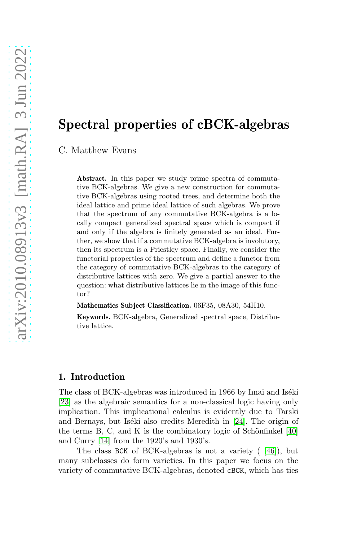# Spectral properties of cBCK-algebras

C. Matthew Evans

Abstract. In this paper we study prime spectra of commutative BCK-algebras. We give a new construction for commutative BCK-algebras using rooted trees, and determine both the ideal lattice and prime ideal lattice of such algebras. We prove that the spectrum of any commutative BCK-algebra is a locally compact generalized spectral space which is compact if and only if the algebra is finitely generated as an ideal. Further, we show that if a commutative BCK-algebra is involutory, then its spectrum is a Priestley space. Finally, we consider the functorial properties of the spectrum and define a functor from the category of commutative BCK-algebras to the category of distributive lattices with zero. We give a partial answer to the question: what distributive lattices lie in the image of this functor?

Mathematics Subject Classification. 06F35, 08A30, 54H10.

Keywords. BCK-algebra, Generalized spectral space, Distributive lattice.

# 1. Introduction

The class of BCK-algebras was introduced in 1966 by Imai and Iséki [\[23\]](#page-33-0) as the algebraic semantics for a non-classical logic having only implication. This implicational calculus is evidently due to Tarski and Bernays, but Iséki also credits Meredith in [\[24\]](#page-33-1). The origin of the terms B, C, and K is the combinatory logic of Schönfinkel  $[40]$ and Curry [\[14\]](#page-33-2) from the 1920's and 1930's.

The class BCK of BCK-algebras is not a variety ( [\[46\]](#page-34-1)), but many subclasses do form varieties. In this paper we focus on the variety of commutative BCK-algebras, denoted cBCK, which has ties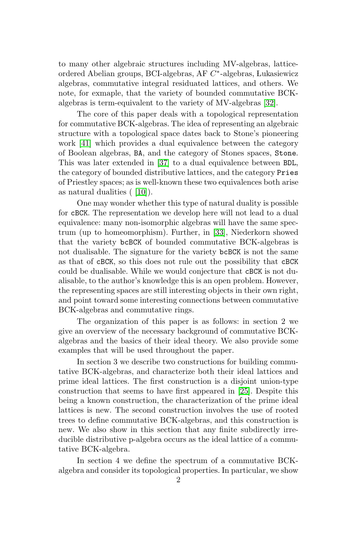to many other algebraic structures including MV-algebras, latticeordered Abelian groups, BCI-algebras, AF C ∗ -algebras, Lukasiewicz algebras, commutative integral residuated lattices, and others. We note, for exmaple, that the variety of bounded commutative BCKalgebras is term-equivalent to the variety of MV-algebras [\[32\]](#page-34-2).

The core of this paper deals with a topological representation for commutative BCK-algebras. The idea of representing an algebraic structure with a topological space dates back to Stone's pioneering work [\[41\]](#page-34-3) which provides a dual equivalence between the category of Boolean algebras, BA, and the category of Stones spaces, Stone. This was later extended in [\[37\]](#page-34-4) to a dual equivalence between BDL, the category of bounded distributive lattices, and the category Pries of Priestley spaces; as is well-known these two equivalences both arise as natural dualities ( [\[10\]](#page-33-3)).

One may wonder whether this type of natural duality is possible for cBCK. The representation we develop here will not lead to a dual equivalence: many non-isomorphic algebras will have the same spectrum (up to homeomorphism). Further, in [\[33\]](#page-34-5), Niederkorn showed that the variety bcBCK of bounded commutative BCK-algebras is not dualisable. The signature for the variety bcBCK is not the same as that of cBCK, so this does not rule out the possibility that cBCK could be dualisable. While we would conjecture that cBCK is not dualisable, to the author's knowledge this is an open problem. However, the representing spaces are still interesting objects in their own right, and point toward some interesting connections between commutative BCK-algebras and commutative rings.

The organization of this paper is as follows: in section 2 we give an overview of the necessary background of commutative BCKalgebras and the basics of their ideal theory. We also provide some examples that will be used throughout the paper.

In section 3 we describe two constructions for building commutative BCK-algebras, and characterize both their ideal lattices and prime ideal lattices. The first construction is a disjoint union-type construction that seems to have first appeared in [\[25\]](#page-33-4). Despite this being a known construction, the characterization of the prime ideal lattices is new. The second construction involves the use of rooted trees to define commutative BCK-algebras, and this construction is new. We also show in this section that any finite subdirectly irreducible distributive p-algebra occurs as the ideal lattice of a commutative BCK-algebra.

In section 4 we define the spectrum of a commutative BCKalgebra and consider its topological properties. In particular, we show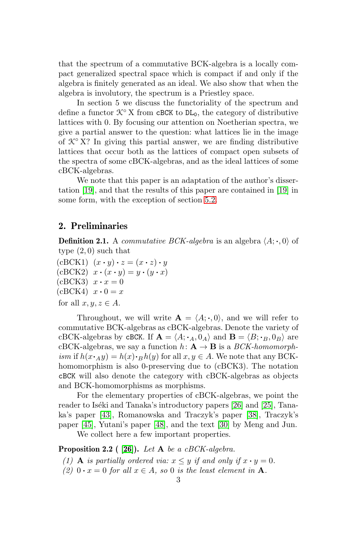that the spectrum of a commutative BCK-algebra is a locally compact generalized spectral space which is compact if and only if the algebra is finitely generated as an ideal. We also show that when the algebra is involutory, the spectrum is a Priestley space.

In section 5 we discuss the functoriality of the spectrum and define a functor  $\mathcal{K}^{\circ}$  X from cBCK to DL<sub>0</sub>, the category of distributive lattices with 0. By focusing our attention on Noetherian spectra, we give a partial answer to the question: what lattices lie in the image of  $\mathcal{K}^{\circ}$  X? In giving this partial answer, we are finding distributive lattices that occur both as the lattices of compact open subsets of the spectra of some cBCK-algebras, and as the ideal lattices of some cBCK-algebras.

We note that this paper is an adaptation of the author's dissertation [\[19\]](#page-33-5), and that the results of this paper are contained in [\[19\]](#page-33-5) in some form, with the exception of section [5.2.](#page-29-0)

# 2. Preliminaries

**Definition 2.1.** A *commutative BCK-algebra* is an algebra  $\langle A; \cdot, 0 \rangle$  of type (2, 0) such that

 $(cBCK1)$   $(x \cdot y) \cdot z = (x \cdot z) \cdot y$  $(cBCK2)$   $x \cdot (x \cdot y) = y \cdot (y \cdot x)$  $(cBCK3)$   $x \cdot x = 0$  $(cBCK4)$   $x \cdot 0 = x$ for all  $x, y, z \in A$ .

Throughout, we will write  $\mathbf{A} = \langle A; \cdot, 0 \rangle$ , and we will refer to commutative BCK-algebras as cBCK-algebras. Denote the variety of cBCK-algebras by cBCK. If  $\mathbf{A} = \langle A; \cdot_A, 0_A \rangle$  and  $\mathbf{B} = \langle B; \cdot_B, 0_B \rangle$  are cBCK-algebras, we say a function  $h: \mathbf{A} \to \mathbf{B}$  is a *BCK-homomorph*ism if  $h(x \cdot_A y) = h(x) \cdot_B h(y)$  for all  $x, y \in A$ . We note that any BCKhomomorphism is also 0-preserving due to (cBCK3). The notation cBCK will also denote the category with cBCK-algebras as objects and BCK-homomorphisms as morphisms.

For the elementary properties of cBCK-algebras, we point the reader to Iséki and Tanaka's introductory papers [\[26\]](#page-33-6) and [\[25\]](#page-33-4), Tanaka's paper [\[43\]](#page-34-6), Romanowska and Traczyk's paper [\[38\]](#page-34-7), Traczyk's paper [\[45\]](#page-34-8), Yutani's paper [\[48\]](#page-35-0), and the text [\[30\]](#page-34-9) by Meng and Jun.

We collect here a few important properties.

## Proposition 2.2 (  $[26]$ ). Let A be a cBCK-algebra.

- (1) **A** is partially ordered via:  $x \leq y$  if and only if  $x \cdot y = 0$ .
- (2)  $0 \cdot x = 0$  for all  $x \in A$ , so 0 is the least element in **A**.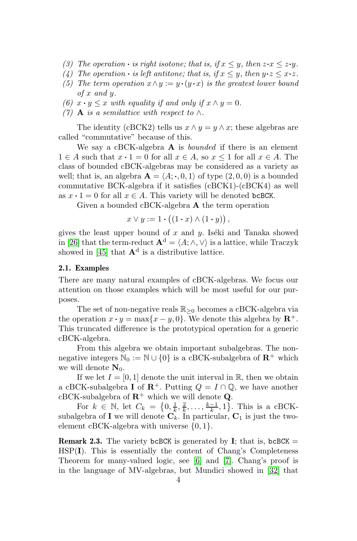- (3) The operation  $\cdot$  is right isotone; that is, if  $x \leq y$ , then  $z \cdot x \leq z \cdot y$ .
- (4) The operation  $\cdot$  is left antitone; that is, if  $x \leq y$ , then  $y \cdot z \leq x \cdot z$ .
- (5) The term operation  $x \wedge y := y \cdot (y \cdot x)$  is the greatest lower bound of x and y.
- (6)  $x \cdot y \leq x$  with equality if and only if  $x \wedge y = 0$ .
- (7) **A** is a semilattice with respect to  $\wedge$ .

The identity (cBCK2) tells us  $x \wedge y = y \wedge x$ ; these algebras are called "commutative" because of this.

We say a cBCK-algebra  $\bf{A}$  is *bounded* if there is an element  $1 \in A$  such that  $x \cdot 1 = 0$  for all  $x \in A$ , so  $x \le 1$  for all  $x \in A$ . The class of bounded cBCK-algebras may be considered as a variety as well; that is, an algebra  $\mathbf{A} = \langle A; \cdot, 0, 1 \rangle$  of type  $(2, 0, 0)$  is a bounded commutative BCK-algebra if it satisfies (cBCK1)-(cBCK4) as well as  $x \cdot 1 = 0$  for all  $x \in A$ . This variety will be denoted bcBCK.

Given a bounded cBCK-algebra A the term operation

$$
x \vee y := 1 \cdot ((1 \cdot x) \wedge (1 \cdot y)),
$$

gives the least upper bound of x and y. Iséki and Tanaka showed in [\[26\]](#page-33-6) that the term-reduct  $\mathbf{A}^d = \langle A; \wedge, \vee \rangle$  is a lattice, while Traczyk showed in [\[45\]](#page-34-8) that  $\mathbf{A}^d$  is a distributive lattice.

## 2.1. Examples

There are many natural examples of cBCK-algebras. We focus our attention on those examples which will be most useful for our purposes.

The set of non-negative reals  $\mathbb{R}_{\geq 0}$  becomes a cBCK-algebra via the operation  $x \cdot y = \max\{x - y, 0\}$ . We denote this algebra by  $\mathbb{R}^+$ . This truncated difference is the prototypical operation for a generic cBCK-algebra.

From this algebra we obtain important subalgebras. The nonnegative integers  $\mathbb{N}_0 := \mathbb{N} \cup \{0\}$  is a cBCK-subalgebra of  $\mathbb{R}^+$  which we will denote  $N_0$ .

If we let  $I = [0, 1]$  denote the unit interval in  $\mathbb{R}$ , then we obtain a cBCK-subalgebra I of  $\mathbb{R}^+$ . Putting  $Q = I \cap \mathbb{Q}$ , we have another cBCK-subalgebra of  $\mathbb{R}^+$  which we will denote **Q**.

For  $k \in \mathbb{N}$ , let  $C_k = \{0, \frac{1}{k}, \frac{2}{k}, \dots, \frac{k-1}{k}, 1\}$ . This is a cBCKsubalgebra of I we will denote  $\mathbf{C}_k$ . In particular,  $\mathbf{C}_1$  is just the twoelement cBCK-algebra with universe  $\{0, 1\}$ .

**Remark 2.3.** The variety bcBCK is generated by **I**; that is, bcBCK  $=$ HSP(I). This is essentially the content of Chang's Completeness Theorem for many-valued logic, see [\[6\]](#page-33-7) and [\[7\]](#page-33-8). Chang's proof is in the language of MV-algebras, but Mundici showed in [\[32\]](#page-34-2) that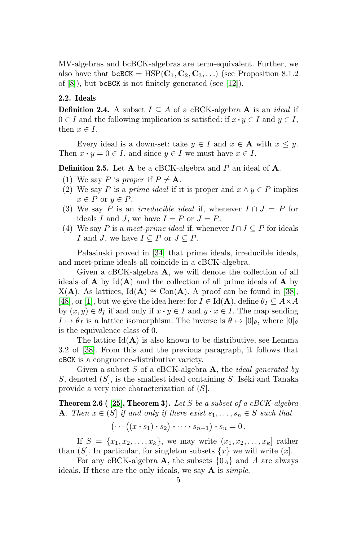MV-algebras and bcBCK-algebras are term-equivalent. Further, we also have that  $bcBCK = HSP(\mathbf{C}_1, \mathbf{C}_2, \mathbf{C}_3, \ldots)$  (see Proposition 8.1.2) of [\[8\]](#page-33-9)), but bcBCK is not finitely generated (see [\[12\]](#page-33-10)).

## 2.2. Ideals

**Definition 2.4.** A subset  $I \subseteq A$  of a cBCK-algebra **A** is an *ideal* if  $0 \in I$  and the following implication is satisfied: if  $x \cdot y \in I$  and  $y \in I$ , then  $x \in I$ .

Every ideal is a down-set: take  $y \in I$  and  $x \in A$  with  $x \leq y$ . Then  $x \cdot y = 0 \in I$ , and since  $y \in I$  we must have  $x \in I$ .

**Definition 2.5.** Let  $A$  be a cBCK-algebra and  $P$  an ideal of  $A$ .

- (1) We say P is proper if  $P \neq \mathbf{A}$ .
- (2) We say P is a prime ideal if it is proper and  $x \wedge y \in P$  implies  $x \in P$  or  $y \in P$ .
- (3) We say P is an *irreducible ideal* if, whenever  $I \cap J = P$  for ideals I and J, we have  $I = P$  or  $J = P$ .
- (4) We say P is a meet-prime ideal if, whenever  $I \cap J \subseteq P$  for ideals I and J, we have  $I \subseteq P$  or  $J \subseteq P$ .

Pałasinski proved in [\[34\]](#page-34-10) that prime ideals, irreducible ideals, and meet-prime ideals all coincide in a cBCK-algebra.

Given a cBCK-algebra A, we will denote the collection of all ideals of  $A$  by  $Id(A)$  and the collection of all prime ideals of  $A$  by  $X(A)$ . As lattices, Id(A) ≅ Con(A). A proof can be found in [\[38\]](#page-34-7), [\[48\]](#page-35-0), or [\[1\]](#page-32-0), but we give the idea here: for  $I \in \text{Id}(\mathbf{A})$ , define  $\theta_I \subseteq A \times A$ by  $(x, y) \in \theta_I$  if and only if  $x \cdot y \in I$  and  $y \cdot x \in I$ . The map sending  $I \mapsto \theta_I$  is a lattice isomorphism. The inverse is  $\theta \mapsto [0]_\theta$ , where  $[0]_\theta$ is the equivalence class of 0.

The lattice  $Id(A)$  is also known to be distributive, see Lemma 3.2 of [\[38\]](#page-34-7). From this and the previous paragraph, it follows that cBCK is a congruence-distributive variety.

Given a subset S of a cBCK-algebra  $\bf{A}$ , the *ideal generated by* S, denoted  $(S)$ , is the smallest ideal containing S. Iséki and Tanaka provide a very nice characterization of  $(S)$ .

<span id="page-4-0"></span>**Theorem 2.6 ( [\[25\]](#page-33-4), Theorem 3).** Let S be a subset of a cBCK-algebra **A**. Then  $x \in (S]$  if and only if there exist  $s_1, \ldots, s_n \in S$  such that

$$
(\cdots ((x \cdot s_1) \cdot s_2) \cdot \cdots \cdot s_{n-1}) \cdot s_n = 0.
$$

If  $S = \{x_1, x_2, ..., x_k\}$ , we may write  $(x_1, x_2, ..., x_k)$  rather than  $(S)$ . In particular, for singleton subsets  $\{x\}$  we will write  $(x)$ .

For any cBCK-algebra **A**, the subsets  $\{0_A\}$  and A are always ideals. If these are the only ideals, we say  $\bf{A}$  is *simple*.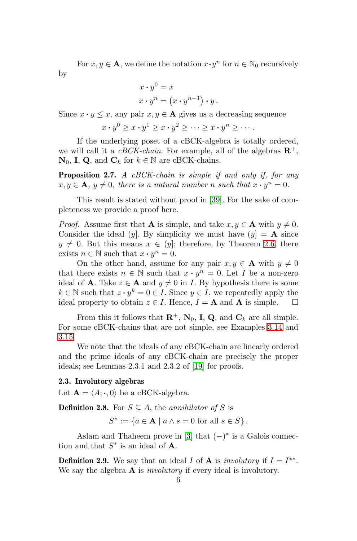For  $x, y \in \mathbf{A}$ , we define the notation  $x \cdot y^n$  for  $n \in \mathbb{N}_0$  recursively by

$$
x \cdot y^0 = x
$$
  

$$
x \cdot y^n = (x \cdot y^{n-1}) \cdot y.
$$

Since  $x \cdot y \leq x$ , any pair  $x, y \in A$  gives us a decreasing sequence

$$
x \cdot y^0 \ge x \cdot y^1 \ge x \cdot y^2 \ge \dots \ge x \cdot y^n \ge \dots.
$$

If the underlying poset of a cBCK-algebra is totally ordered, we will call it a *cBCK-chain*. For example, all of the algebras  $\mathbb{R}^+$ ,  $\mathbf{N}_0$ , **I**, **Q**, and  $\mathbf{C}_k$  for  $k \in \mathbb{N}$  are cBCK-chains.

**Proposition 2.7.** A  $cBCK$ -chain is simple if and only if, for any  $x, y \in \mathbf{A}, y \neq 0$ , there is a natural number n such that  $x \cdot y^n = 0$ .

This result is stated without proof in [\[39\]](#page-34-11). For the sake of completeness we provide a proof here.

*Proof.* Assume first that **A** is simple, and take  $x, y \in \mathbf{A}$  with  $y \neq 0$ . Consider the ideal (y). By simplicity we must have  $(y) = A$  since  $y \neq 0$ . But this means  $x \in (y]$ ; therefore, by Theorem [2.6,](#page-4-0) there exists  $n \in \mathbb{N}$  such that  $x \cdot y^n = 0$ .

On the other hand, assume for any pair  $x, y \in A$  with  $y \neq 0$ that there exists  $n \in \mathbb{N}$  such that  $x \cdot y^n = 0$ . Let I be a non-zero ideal of **A**. Take  $z \in \mathbf{A}$  and  $y \neq 0$  in *I*. By hypothesis there is some  $k \in \mathbb{N}$  such that  $z \cdot y^k = 0 \in I$ . Since  $y \in I$ , we repeatedly apply the ideal property to obtain  $z \in I$ . Hence,  $I = \mathbf{A}$  and  $\mathbf{A}$  is simple.  $\Box$ 

From this it follows that  $\mathbb{R}^+$ ,  $\mathbb{N}_0$ , **I**, **Q**, and  $\mathbb{C}_k$  are all simple. For some cBCK-chains that are not simple, see Examples [3.14](#page-14-0) and [3.15.](#page-14-1)

We note that the ideals of any cBCK-chain are linearly ordered and the prime ideals of any cBCK-chain are precisely the proper ideals; see Lemmas 2.3.1 and 2.3.2 of [\[19\]](#page-33-5) for proofs.

### 2.3. Involutory algebras

Let  $\mathbf{A} = \langle A; \cdot, 0 \rangle$  be a cBCK-algebra.

**Definition 2.8.** For  $S \subseteq A$ , the annihilator of S is

$$
S^* := \{ a \in \mathbf{A} \mid a \wedge s = 0 \text{ for all } s \in S \}.
$$

Aslam and Thaheem prove in [\[3\]](#page-32-1) that  $(-)^*$  is a Galois connection and that  $S^*$  is an ideal of **A**.

**Definition 2.9.** We say that an ideal I of **A** is *involutory* if  $I = I^{**}$ . We say the algebra  $\bf{A}$  is *involutory* if every ideal is involutory.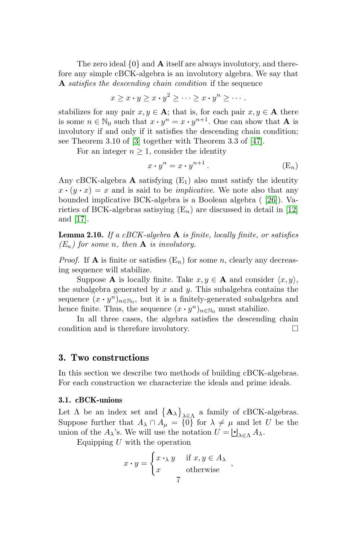The zero ideal  $\{0\}$  and **A** itself are always involutory, and therefore any simple cBCK-algebra is an involutory algebra. We say that A satisfies the descending chain condition if the sequence

$$
x \geq x \cdot y \geq x \cdot y^2 \geq \cdots \geq x \cdot y^n \geq \cdots.
$$

stabilizes for any pair  $x, y \in \mathbf{A}$ ; that is, for each pair  $x, y \in \mathbf{A}$  there is some  $n \in \mathbb{N}_0$  such that  $x \cdot y^n = x \cdot y^{n+1}$ . One can show that **A** is involutory if and only if it satisfies the descending chain condition; see Theorem 3.10 of [\[3\]](#page-32-1) together with Theorem 3.3 of [\[47\]](#page-34-12).

For an integer  $n \geq 1$ , consider the identity

$$
x \cdot y^n = x \cdot y^{n+1} \,. \tag{E_n}
$$

Any cBCK-algebra  $\bf{A}$  satisfying  $(E_1)$  also must satisfy the identity  $x \cdot (y \cdot x) = x$  and is said to be *implicative*. We note also that any bounded implicative BCK-algebra is a Boolean algebra ( [\[26\]](#page-33-6)). Varieties of BCK-algebras satisying  $(E_n)$  are discussed in detail in [\[12\]](#page-33-10) and [\[17\]](#page-33-11).

**Lemma 2.10.** If a cBCK-algebra  $\bf{A}$  is finite, locally finite, or satisfies  $(E_n)$  for some n, then **A** is involutory.

*Proof.* If **A** is finite or satisfies  $(E_n)$  for some *n*, clearly any decreasing sequence will stabilize.

Suppose **A** is locally finite. Take  $x, y \in \mathbf{A}$  and consider  $\langle x, y \rangle$ , the subalgebra generated by  $x$  and  $y$ . This subalgebra contains the sequence  $(x \cdot y^n)_{n \in \mathbb{N}_0}$ , but it is a finitely-generated subalgebra and hence finite. Thus, the sequence  $(x \cdot y^n)_{n \in \mathbb{N}_0}$  must stabilize.

In all three cases, the algebra satisfies the descending chain condition and is therefore involutory.

## 3. Two constructions

In this section we describe two methods of building cBCK-algebras. For each construction we characterize the ideals and prime ideals.

#### <span id="page-6-0"></span>3.1. cBCK-unions

Let  $\Lambda$  be an index set and  $\{A_{\lambda}\}_{\lambda\in\Lambda}$  a family of cBCK-algebras. Suppose further that  $A_{\lambda} \cap A_{\mu} = \{0\}$  for  $\lambda \neq \mu$  and let U be the union of the  $A_\lambda$ 's. We will use the notation  $U = \bigcup_{\lambda \in \Lambda} A_\lambda$ .

Equipping  $U$  with the operation

$$
x \cdot y = \begin{cases} x \cdot_{\lambda} y & \text{if } x, y \in A_{\lambda} \\ x & \text{otherwise} \end{cases}
$$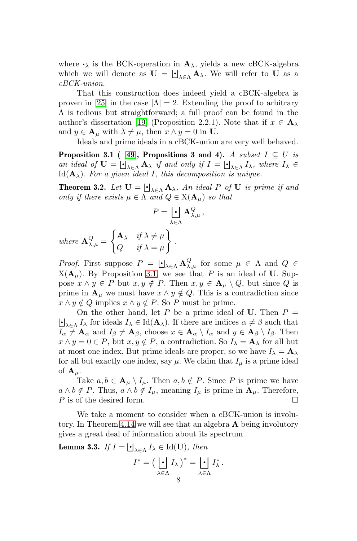where  $\cdot_{\lambda}$  is the BCK-operation in  $\mathbf{A}_{\lambda}$ , yields a new cBCK-algebra which we will denote as  $\mathbf{U} = \bigsqcup_{\lambda \in \Lambda} \mathbf{A}_{\lambda}$ . We will refer to U as a cBCK-union.

That this construction does indeed yield a cBCK-algebra is proven in [\[25\]](#page-33-4) in the case  $|\Lambda| = 2$ . Extending the proof to arbitrary Λ is tedious but straightforward; a full proof can be found in the author's dissertation [\[19\]](#page-33-5) (Proposition 2.2.1). Note that if  $x \in \mathbf{A}_{\lambda}$ and  $y \in A_\mu$  with  $\lambda \neq \mu$ , then  $x \wedge y = 0$  in U.

Ideals and prime ideals in a cBCK-union are very well behaved.

<span id="page-7-0"></span>**Proposition 3.1** ( [\[49\]](#page-35-1), Propositions 3 and 4). A subset  $I \subseteq U$  is an ideal of  $U = \bigsqcup_{\lambda \in \Lambda} A_{\lambda}$  if and only if  $I = \bigsqcup_{\lambda \in \Lambda} I_{\lambda}$ , where  $I_{\lambda} \in$  $\text{Id}(\mathbf{A}_{\lambda})$ . For a given ideal I, this decomposition is unique.

<span id="page-7-2"></span>**Theorem 3.2.** Let  $\mathbf{U} = \bigcup_{\lambda \in \Lambda} \mathbf{A}_{\lambda}$ . An ideal P of U is prime if and only if there exists  $\mu \in \Lambda$  and  $Q \in X(\mathbf{A}_{\mu})$  so that

$$
P = \bigcup_{\lambda \in \Lambda} \mathbf{A}^Q_{\lambda,\mu} \,,
$$

.

where  ${\bf A}_{\lambda,\mu}^Q=$  $\int \mathbf{A}_{\lambda}$  if  $\lambda \neq \mu$  $Q$  if  $\lambda = \mu$  $\mathcal{L}$ 

Proof. First suppose  $P = \bigcup_{\lambda \in \Lambda} \mathbf{A}_{\lambda,\mu}^Q$  for some  $\mu \in \Lambda$  and  $Q \in$  $X(\mathbf{A}_{\mu})$ . By Proposition [3.1,](#page-7-0) we see that P is an ideal of U. Suppose  $x \wedge y \in P$  but  $x, y \notin P$ . Then  $x, y \in A_\mu \setminus Q$ , but since Q is prime in  $\mathbf{A}_{\mu}$  we must have  $x \wedge y \notin Q$ . This is a contradiction since  $x \wedge y \notin Q$  implies  $x \wedge y \notin P$ . So P must be prime.

On the other hand, let P be a prime ideal of U. Then  $P =$  $\bigcup_{\lambda \in \Lambda} I_{\lambda}$  for ideals  $I_{\lambda} \in \text{Id}(\mathbf{A}_{\lambda})$ . If there are indices  $\alpha \neq \beta$  such that  $I_{\alpha} \neq \mathbf{A}_{\alpha}$  and  $I_{\beta} \neq \mathbf{A}_{\beta}$ , choose  $x \in \mathbf{A}_{\alpha} \setminus I_{\alpha}$  and  $y \in \mathbf{A}_{\beta} \setminus I_{\beta}$ . Then  $x \wedge y = 0 \in P$ , but  $x, y \notin P$ , a contradiction. So  $I_{\lambda} = \mathbf{A}_{\lambda}$  for all but at most one index. But prime ideals are proper, so we have  $I_{\lambda} = \mathbf{A}_{\lambda}$ for all but exactly one index, say  $\mu$ . We claim that  $I_{\mu}$  is a prime ideal of  ${\bf A}_{\mu}$ .

Take  $a, b \in A_\mu \setminus I_\mu$ . Then  $a, b \notin P$ . Since P is prime we have  $a \wedge b \notin P$ . Thus,  $a \wedge b \notin I_\mu$ , meaning  $I_\mu$  is prime in  $\mathbf{A}_\mu$ . Therefore,  $P$  is of the desired form.

We take a moment to consider when a cBCK-union is involu-tory. In Theorem [4.14](#page-22-0) we will see that an algebra  $\bf{A}$  being involutory gives a great deal of information about its spectrum.

<span id="page-7-1"></span>**Lemma 3.3.** If  $I = \bigcup_{\lambda \in \Lambda} I_{\lambda} \in \text{Id}(\mathbf{U})$ , then

$$
I^* = \left(\begin{array}{c} \cdot \\ \cdot \end{array}\right) I_\lambda^* = \begin{array}{c} \cdot \\ \cdot \end{array}\right) I_\lambda^*.
$$
  
8  

$$
\lambda \in \Lambda
$$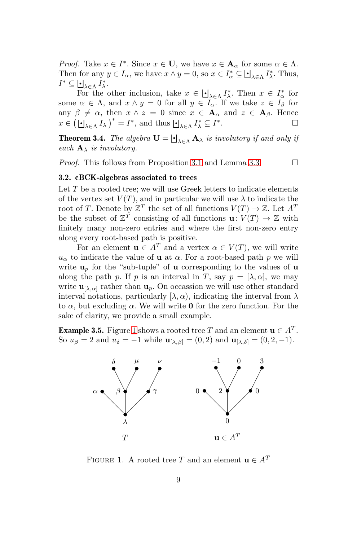*Proof.* Take  $x \in I^*$ . Since  $x \in U$ , we have  $x \in A_\alpha$  for some  $\alpha \in \Lambda$ . Then for any  $y \in I_\alpha$ , we have  $x \wedge y = 0$ , so  $x \in I_\alpha^* \subseteq \bigcup_{\lambda \in \Lambda} I_\lambda^*$ . Thus,  $I^* \subseteq \bigcup_{\lambda \in \Lambda} I_{\lambda}^*.$ 

 $\Xi$ A $\in$ A $\to$ <sup>1</sup>  $\to$  Then  $x \in \bigcup_{\lambda \in \Lambda} I_{\lambda}^*$ . Then  $x \in I_{\alpha}^*$  for some  $\alpha \in \Lambda$ , and  $x \wedge y = 0$  for all  $y \in I_{\alpha}$ . If we take  $z \in I_{\beta}$  for any  $\beta \neq \alpha$ , then  $x \wedge z = 0$  since  $x \in \mathbf{A}_{\alpha}$  and  $z \in \mathbf{A}_{\beta}$ . Hence  $x \in (\bigcup_{\lambda \in \Lambda} I_{\lambda})^* = I^*$ , and thus  $\bigcup_{\lambda \in \Lambda} I_{\lambda}^* \subseteq I^*$ .

**Theorem 3.4.** The algebra  $\mathbf{U} = \bigsqcup_{\lambda \in \Lambda} \mathbf{A}_{\lambda}$  is involutory if and only if each  $\mathbf{A}_{\lambda}$  is involutory.

*Proof.* This follows from Proposition [3.1](#page-7-0) and Lemma [3.3.](#page-7-1)  $\Box$ 

## 3.2. cBCK-algebras associated to trees

Let  $T$  be a rooted tree; we will use Greek letters to indicate elements of the vertex set  $V(T)$ , and in particular we will use  $\lambda$  to indicate the root of T. Denote by  $\mathbb{Z}^T$  the set of all functions  $V(T) \to \mathbb{Z}$ . Let  $A^T$ be the subset of  $\mathbb{Z}^T$  consisting of all functions  $\mathbf{u}: V(T) \to \mathbb{Z}$  with finitely many non-zero entries and where the first non-zero entry along every root-based path is positive.

For an element  $\mathbf{u} \in A^T$  and a vertex  $\alpha \in V(T)$ , we will write  $u_{\alpha}$  to indicate the value of **u** at  $\alpha$ . For a root-based path p we will write  $\mathbf{u}_p$  for the "sub-tuple" of **u** corresponding to the values of **u** along the path p. If p is an interval in T, say  $p = [\lambda, \alpha]$ , we may write  $\mathbf{u}_{[\lambda,\alpha]}$  rather than  $\mathbf{u}_p$ . On occassion we will use other standard interval notations, particularly  $[\lambda, \alpha)$ , indicating the interval from  $\lambda$ to  $\alpha$ , but excluding  $\alpha$ . We will write **0** for the zero function. For the sake of clarity, we provide a small example.

**Example 3.5.** Figure [1](#page-8-0) shows a rooted tree T and an element  $\mathbf{u} \in A^T$ . So  $u_{\beta} = 2$  and  $u_{\delta} = -1$  while  $\mathbf{u}_{[\lambda,\beta]} = (0, 2)$  and  $\mathbf{u}_{[\lambda,\delta]} = (0, 2, -1)$ .



<span id="page-8-0"></span>FIGURE 1. A rooted tree T and an element  $\mathbf{u} \in A^T$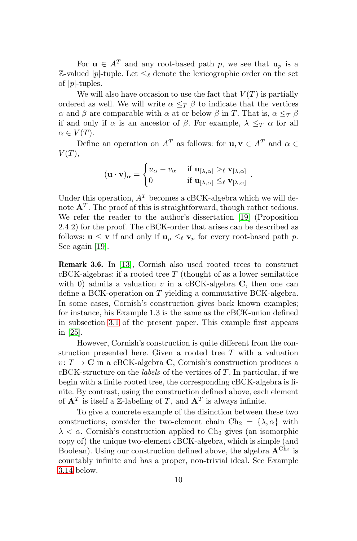For  $\mathbf{u} \in A^T$  and any root-based path p, we see that  $\mathbf{u}_p$  is a  $\mathbb{Z}\text{-}\mathsf{valued}\ |p|$ -tuple. Let  $\leq_\ell$  denote the lexicographic order on the set of  $|p|$ -tuples.

We will also have occasion to use the fact that  $V(T)$  is partially ordered as well. We will write  $\alpha \leq_T \beta$  to indicate that the vertices α and β are comparable with α at or below β in T. That is,  $\alpha \leq_T \beta$ if and only if  $\alpha$  is an ancestor of  $\beta$ . For example,  $\lambda \leq_T \alpha$  for all  $\alpha \in V(T)$ .

Define an operation on  $A^T$  as follows: for  $\mathbf{u}, \mathbf{v} \in A^T$  and  $\alpha \in \mathbb{R}$  $V(T)$ ,

$$
(\mathbf{u} \cdot \mathbf{v})_{\alpha} = \begin{cases} u_{\alpha} - v_{\alpha} & \text{if } \mathbf{u}_{[\lambda, \alpha]} >_{\ell} \mathbf{v}_{[\lambda, \alpha]} \\ 0 & \text{if } \mathbf{u}_{[\lambda, \alpha]} \leq_{\ell} \mathbf{v}_{[\lambda, \alpha]} \end{cases}
$$

.

Under this operation,  $A<sup>T</sup>$  becomes a cBCK-algebra which we will denote  $A<sup>T</sup>$ . The proof of this is straightforward, though rather tedious. We refer the reader to the author's dissertation [\[19\]](#page-33-5) (Proposition 2.4.2) for the proof. The cBCK-order that arises can be described as follows:  $\mathbf{u} \leq \mathbf{v}$  if and only if  $\mathbf{u}_p \leq_{\ell} \mathbf{v}_p$  for every root-based path p. See again [\[19\]](#page-33-5).

Remark 3.6. In [\[13\]](#page-33-12), Cornish also used rooted trees to construct  $cBCK$ -algebras: if a rooted tree  $T$  (thought of as a lower semilattice with 0) admits a valuation  $v$  in a cBCK-algebra  $C$ , then one can define a BCK-operation on T yielding a commutative BCK-algebra. In some cases, Cornish's construction gives back known examples; for instance, his Example 1.3 is the same as the cBCK-union defined in subsection [3.1](#page-6-0) of the present paper. This example first appears in [\[25\]](#page-33-4).

However, Cornish's construction is quite different from the construction presented here. Given a rooted tree T with a valuation  $v: T \to \mathbf{C}$  in a cBCK-algebra **C**, Cornish's construction produces a  $cBCK-structure$  on the *labels* of the vertices of  $T$ . In particular, if we begin with a finite rooted tree, the corresponding cBCK-algebra is finite. By contrast, using the construction defined above, each element of  $A<sup>T</sup>$  is itself a Z-labeling of T, and  $A<sup>T</sup>$  is always infinite.

To give a concrete example of the disinction between these two constructions, consider the two-element chain  $Ch_2 = {\lambda, \alpha}$  with  $\lambda < \alpha$ . Cornish's construction applied to Ch<sub>2</sub> gives (an isomorphic copy of) the unique two-element cBCK-algebra, which is simple (and Boolean). Using our construction defined above, the algebra  ${\bf A}^{\rm Ch_2}$  is countably infinite and has a proper, non-trivial ideal. See Example [3.14](#page-14-0) below.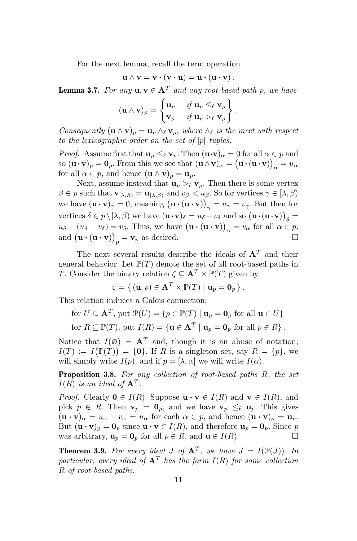For the next lemma, recall the term operation

$$
\mathbf{u} \wedge \mathbf{v} = \mathbf{v} \cdot (\mathbf{v} \cdot \mathbf{u}) = \mathbf{u} \cdot (\mathbf{u} \cdot \mathbf{v}).
$$

<span id="page-10-1"></span>**Lemma 3.7.** For any  $\mathbf{u}, \mathbf{v} \in \mathbf{A}^T$  and any root-based path p, we have

$$
(\mathbf{u} \wedge \mathbf{v})_p = \begin{cases} \mathbf{u}_p & \text{if } \mathbf{u}_p \leq \ell \mathbf{v}_p \\ \mathbf{v}_p & \text{if } \mathbf{u}_p > \ell \mathbf{v}_p \end{cases}.
$$

Consequently  $(\mathbf{u} \wedge \mathbf{v})_p = \mathbf{u}_p \wedge_{\ell} \mathbf{v}_p$ , where  $\wedge_{\ell}$  is the meet with respect to the lexicographic order on the set of  $|p|$ -tuples.

*Proof.* Assume first that  $\mathbf{u}_p \leq_{\ell} \mathbf{v}_p$ . Then  $(\mathbf{u} \cdot \mathbf{v})_{\alpha} = 0$  for all  $\alpha \in p$  and so  $(\mathbf{u} \cdot \mathbf{v})_p = \mathbf{0}_p$ . From this we see that  $(\mathbf{u} \wedge \mathbf{v})_\alpha = (\mathbf{u} \cdot (\mathbf{u} \cdot \mathbf{v}))_\alpha = u_\alpha$ for all  $\alpha \in p$ , and hence  $(\mathbf{u} \wedge \mathbf{v})_p = \mathbf{u}_p$ .

Next, assume instead that  $\mathbf{u}_p >_{\ell} \mathbf{v}_p$ . Then there is some vertex  $\beta \in p$  such that  $\mathbf{v}_{[\lambda,\beta)} = \mathbf{u}_{[\lambda,\beta)}$  and  $v_{\beta} < u_{\beta}$ . So for vertices  $\gamma \in [\lambda,\beta)$ we have  $(\mathbf{u} \cdot \mathbf{v})_{\gamma} = 0$ , meaning  $(\mathbf{u} \cdot (\mathbf{u} \cdot \mathbf{v}))_{\gamma} = u_{\gamma} = v_{\gamma}$ . But then for vertices  $\delta \in p \setminus [\lambda, \beta)$  we have  $(\mathbf{u} \cdot \mathbf{v})_{\delta} = u_{\delta} - v_{\delta}$  and so  $(\mathbf{u} \cdot (\mathbf{u} \cdot \mathbf{v}))_{\delta} =$  $u_{\delta} - (u_{\delta} - v_{\delta}) = v_{\delta}$ . Thus, we have  $(\mathbf{u} \cdot (\mathbf{u} \cdot \mathbf{v}))_{\alpha} = v_{\alpha}$  for all  $\alpha \in p$ , and  $(\mathbf{u} \cdot (\mathbf{u} \cdot \mathbf{v}))_p = \mathbf{v}_p$  as desired.

The next several results describe the ideals of  $A<sup>T</sup>$  and their general behavior. Let  $\mathbb{P}(T)$  denote the set of all root-based paths in T. Consider the binary relation  $\zeta \subseteq \mathbf{A}^T \times \mathbb{P}(T)$  given by

$$
\zeta = \{ (\mathbf{u}, p) \in \mathbf{A}^T \times \mathbb{P}(T) \mid \mathbf{u}_p = \mathbf{0}_p \}.
$$

This relation induces a Galois connection:

for 
$$
U \subseteq \mathbf{A}^T
$$
, put  $\mathcal{P}(U) = \{p \in \mathbb{P}(T) \mid \mathbf{u}_p = \mathbf{0}_p \text{ for all } \mathbf{u} \in U\}$ 

for  $R \subseteq \mathbb{P}(T)$ , put  $I(R) = {\mathbf{u} \in \mathbf{A}^T | \mathbf{u}_p = \mathbf{0}_p \text{ for all } p \in R}$ .

Notice that  $I(\emptyset) = A^T$  and, though it is an abuse of notation,  $I(T) := I(\mathbb{P}(T)) = \{0\}.$  If R is a singleton set, say  $R = \{p\},\$ will simply write  $I(p)$ , and if  $p = [\lambda, \alpha]$  we will write  $I(\alpha)$ .

<span id="page-10-0"></span>**Proposition 3.8.** For any collection of root-based paths  $R$ , the set  $I(R)$  is an ideal of  $A<sup>T</sup>$ .

*Proof.* Clearly  $\mathbf{0} \in I(R)$ . Suppose  $\mathbf{u} \cdot \mathbf{v} \in I(R)$  and  $\mathbf{v} \in I(R)$ , and pick  $p \in R$ . Then  $\mathbf{v}_p = \mathbf{0}_p$ , and we have  $\mathbf{v}_p \leq_{\ell} \mathbf{u}_p$ . This gives  $(\mathbf{u} \cdot \mathbf{v})_{\alpha} = u_{\alpha} - v_{\alpha} = u_{\alpha}$  for each  $\alpha \in p$ , and hence  $(\mathbf{u} \cdot \mathbf{v})_{p} = \mathbf{u}_{p}$ . But  $(\mathbf{u} \cdot \mathbf{v})_p = \mathbf{0}_p$  since  $\mathbf{u} \cdot \mathbf{v} \in I(R)$ , and therefore  $\mathbf{u}_p = \mathbf{0}_p$ . Since p was arbitrary,  $\mathbf{u}_p = \mathbf{0}_p$  for all  $p \in R$ , and  $\mathbf{u} \in I(R)$ .

<span id="page-10-2"></span>**Theorem 3.9.** For every ideal J of  $A<sup>T</sup>$ , we have  $J = I(\mathcal{P}(J))$ . In particular, every ideal of  $A<sup>T</sup>$  has the form  $I(R)$  for some collection R of root-based paths.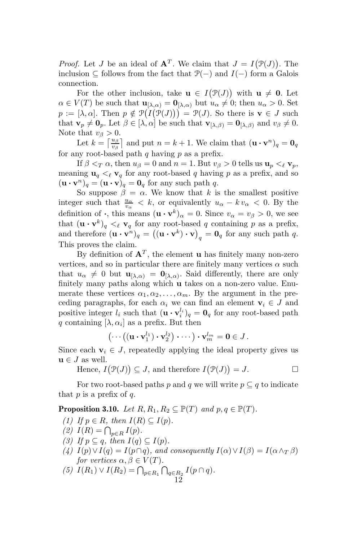*Proof.* Let J be an ideal of  $A<sup>T</sup>$ . We claim that  $J = I(\mathcal{P}(J))$ . The inclusion ⊂ follows from the fact that  $\mathcal{P}(-)$  and  $I(-)$  form a Galois connection.

For the other inclusion, take  $\mathbf{u} \in I(\mathcal{P}(J))$  with  $\mathbf{u} \neq \mathbf{0}$ . Let  $\alpha \in V(T)$  be such that  $\mathbf{u}_{[\lambda,\alpha)} = \mathbf{0}_{[\lambda,\alpha)}$  but  $u_{\alpha} \neq 0$ ; then  $u_{\alpha} > 0$ . Set  $p := [\lambda, \alpha]$ . Then  $p \notin \mathcal{P}(I(\mathcal{P}(J))) = \mathcal{P}(J)$ . So there is  $\mathbf{v} \in J$  such that  $\mathbf{v}_p \neq \mathbf{0}_p$ . Let  $\beta \in [\lambda, \alpha]$  be such that  $\mathbf{v}_{[\lambda,\beta)} = \mathbf{0}_{[\lambda,\beta)}$  and  $v_\beta \neq 0$ . Note that  $v_{\beta} > 0$ .

Let  $k = \left\lceil \frac{u_\beta}{v_\beta} \right\rceil$  and put  $n = k + 1$ . We claim that  $(\mathbf{u} \cdot \mathbf{v}^n)_q = \mathbf{0}_q$ for any root-based path  $q$  having  $p$  as a prefix.

If  $\beta <_{T} \alpha$ , then  $u_{\beta} = 0$  and  $n = 1$ . But  $v_{\beta} > 0$  tells us  $\mathbf{u}_{n} <_{\ell} \mathbf{v}_{n}$ , meaning  $\mathbf{u}_q \lt_{\ell} \mathbf{v}_q$  for any root-based q having p as a prefix, and so  $(\mathbf{u} \cdot \mathbf{v}^n)_q = (\mathbf{u} \cdot \mathbf{v})_q = \mathbf{0}_q$  for any such path q.

So suppose  $\beta = \alpha$ . We know that k is the smallest positive integer such that  $\frac{u_{\alpha}}{v_{\alpha}} < k$ , or equivalently  $u_{\alpha} - k v_{\alpha} < 0$ . By the definition of  $\cdot$ , this means  $(\mathbf{u} \cdot \mathbf{v}^k)_{\alpha} = 0$ . Since  $v_{\alpha} = v_{\beta} > 0$ , we see that  $(\mathbf{u} \cdot \mathbf{v}^k)_q \leq \ell \mathbf{v}_q$  for any root-based q containing p as a prefix, and therefore  $(\mathbf{u} \cdot \mathbf{v}^n)_q = ((\mathbf{u} \cdot \mathbf{v}^k) \cdot \mathbf{v})_q = \mathbf{0}_q$  for any such path q. This proves the claim.

By definition of  $\mathbf{A}^T$ , the element **u** has finitely many non-zero vertices, and so in particular there are finitely many vertices  $\alpha$  such that  $u_{\alpha} \neq 0$  but  $\mathbf{u}_{[\lambda,\alpha)} = \mathbf{0}_{[\lambda,\alpha)}$ . Said differently, there are only finitely many paths along which u takes on a non-zero value. Enumerate these vertices  $\alpha_1, \alpha_2, \ldots, \alpha_m$ . By the argument in the preceding paragraphs, for each  $\alpha_i$  we can find an element  $\mathbf{v}_i \in J$  and positive integer  $l_i$  such that  $(\mathbf{u} \cdot \mathbf{v}_i^{l_i})_q = \mathbf{0}_q$  for any root-based path q containing  $[\lambda, \alpha_i]$  as a prefix. But then

$$
\left(\cdots\left((\mathbf{u}\boldsymbol{\cdot}\mathbf{v}_{1}^{l_{1}})\boldsymbol{\cdot}\mathbf{v}_{2}^{l_{2}}\right)\boldsymbol{\cdot}\cdots\right)\boldsymbol{\cdot}\mathbf{v}_{m}^{l_{m}}=\mathbf{0}\in J.
$$

Since each  $v_i \in J$ , repeatedly applying the ideal property gives us  $\mathbf{u} \in J$  as well.

Hence,  $I(\mathcal{P}(J)) \subseteq J$ , and therefore  $I(\mathcal{P}(J)) = J$ .

For two root-based paths p and q we will write  $p \subseteq q$  to indicate that  $p$  is a prefix of  $q$ .

<span id="page-11-0"></span>**Proposition 3.10.** Let  $R, R_1, R_2 \subseteq \mathbb{P}(T)$  and  $p, q \in \mathbb{P}(T)$ .

- (1) If  $p \in R$ , then  $I(R) \subseteq I(p)$ .
- (2)  $I(R) = \bigcap_{p \in R} I(p)$ .
- (3) If  $p \subseteq q$ , then  $I(q) \subseteq I(p)$ .
- (4)  $I(p) \vee I(q) = I(p \cap q)$ , and consequently  $I(\alpha) \vee I(\beta) = I(\alpha \wedge_T \beta)$ for vertices  $\alpha, \beta \in V(T)$ .
- (5)  $I(R_1) \vee I(R_2) = \bigcap_{p \in R_1} \bigcap_{q \in R_2} I(p \cap q)$ . 12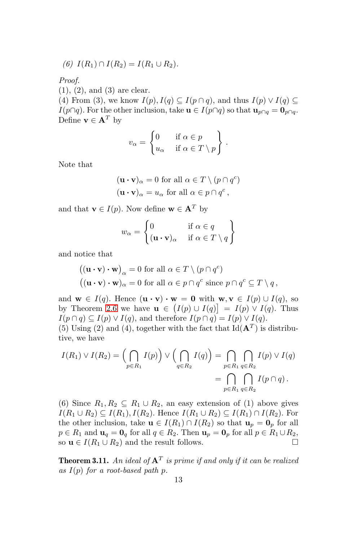$$
(6) I(R_1) \cap I(R_2) = I(R_1 \cup R_2).
$$

Proof.

(1), (2), and (3) are clear.

(4) From (3), we know  $I(p)$ ,  $I(q) \subseteq I(p \cap q)$ , and thus  $I(p) \vee I(q) \subseteq$  $I(p\cap q)$ . For the other inclusion, take  $\mathbf{u} \in I(p\cap q)$  so that  $\mathbf{u}_{p\cap q} = \mathbf{0}_{p\cap q}$ . Define  $\mathbf{v} \in \mathbf{A}^T$  by

$$
v_{\alpha} = \begin{cases} 0 & \text{if } \alpha \in p \\ u_{\alpha} & \text{if } \alpha \in T \setminus p \end{cases}.
$$

Note that

$$
(\mathbf{u} \cdot \mathbf{v})_{\alpha} = 0
$$
 for all  $\alpha \in T \setminus (p \cap q^{c})$   
\n $(\mathbf{u} \cdot \mathbf{v})_{\alpha} = u_{\alpha}$  for all  $\alpha \in p \cap q^{c}$ ,

and that  $\mathbf{v} \in I(p)$ . Now define  $\mathbf{w} \in \mathbf{A}^T$  by

$$
w_{\alpha} = \begin{cases} 0 & \text{if } \alpha \in q \\ (\mathbf{u} \cdot \mathbf{v})_{\alpha} & \text{if } \alpha \in T \setminus q \end{cases}
$$

and notice that

$$
\begin{aligned} \left( (\mathbf{u} \cdot \mathbf{v}) \cdot \mathbf{w} \right)_{\alpha} &= 0 \text{ for all } \alpha \in T \setminus (p \cap q^c) \\ \left( (\mathbf{u} \cdot \mathbf{v}) \cdot \mathbf{w} \right)_{\alpha} &= 0 \text{ for all } \alpha \in p \cap q^c \text{ since } p \cap q^c \subseteq T \setminus q \,, \end{aligned}
$$

and  $\mathbf{w} \in I(q)$ . Hence  $(\mathbf{u} \cdot \mathbf{v}) \cdot \mathbf{w} = \mathbf{0}$  with  $\mathbf{w}, \mathbf{v} \in I(p) \cup I(q)$ , so by Theorem [2.6](#page-4-0) we have  $\mathbf{u} \in (I(p) \cup I(q)) = I(p) \vee I(q)$ . Thus  $I(p \cap q) \subseteq I(p) \vee I(q)$ , and therefore  $I(p \cap q) = I(p) \vee I(q)$ .

(5) Using (2) and (4), together with the fact that  $\text{Id}(\mathbf{A}^T)$  is distributive, we have

$$
I(R_1) \vee I(R_2) = \left(\bigcap_{p \in R_1} I(p)\right) \vee \left(\bigcap_{q \in R_2} I(q)\right) = \bigcap_{p \in R_1} \bigcap_{q \in R_2} I(p) \vee I(q)
$$

$$
= \bigcap_{p \in R_1} \bigcap_{q \in R_2} I(p \cap q).
$$

(6) Since  $R_1, R_2 \subseteq R_1 \cup R_2$ , an easy extension of (1) above gives  $I(R_1 \cup R_2) \subseteq I(R_1), I(R_2)$ . Hence  $I(R_1 \cup R_2) \subseteq I(R_1) \cap I(R_2)$ . For the other inclusion, take  $\mathbf{u} \in I(R_1) \cap I(R_2)$  so that  $\mathbf{u}_p = \mathbf{0}_p$  for all  $p \in R_1$  and  $\mathbf{u}_q = \mathbf{0}_q$  for all  $q \in R_2$ . Then  $\mathbf{u}_p = \mathbf{0}_p$  for all  $p \in R_1 \cup R_2$ , so  $\mathbf{u} \in I(R_1 \cup R_2)$  and the result follows.

<span id="page-12-0"></span>**Theorem 3.11.** An ideal of  $A<sup>T</sup>$  is prime if and only if it can be realized as  $I(p)$  for a root-based path p.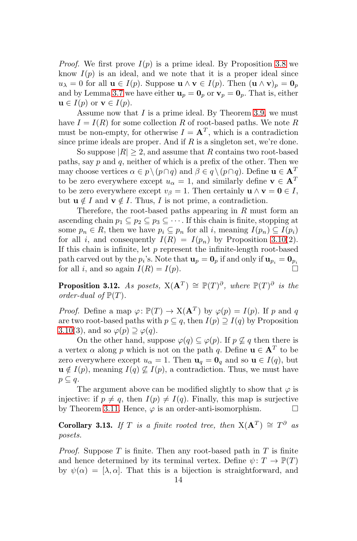*Proof.* We first prove  $I(p)$  is a prime ideal. By Proposition [3.8](#page-10-0) we know  $I(p)$  is an ideal, and we note that it is a proper ideal since  $u_{\lambda} = 0$  for all  $\mathbf{u} \in I(p)$ . Suppose  $\mathbf{u} \wedge \mathbf{v} \in I(p)$ . Then  $(\mathbf{u} \wedge \mathbf{v})_p = \mathbf{0}_p$ and by Lemma [3.7](#page-10-1) we have either  $\mathbf{u}_p = \mathbf{0}_p$  or  $\mathbf{v}_p = \mathbf{0}_p$ . That is, either  $\mathbf{u} \in I(p)$  or  $\mathbf{v} \in I(p)$ .

Assume now that  $I$  is a prime ideal. By Theorem [3.9,](#page-10-2) we must have  $I = I(R)$  for some collection R of root-based paths. We note R must be non-empty, for otherwise  $I = \mathbf{A}^T$ , which is a contradiction since prime ideals are proper. And if  $R$  is a singleton set, we're done.

So suppose  $|R| > 2$ , and assume that R contains two root-based paths, say  $p$  and  $q$ , neither of which is a prefix of the other. Then we may choose vertices  $\alpha \in p \setminus (p \cap q)$  and  $\beta \in q \setminus (p \cap q)$ . Define  $\mathbf{u} \in \mathbf{A}^T$ to be zero everywhere except  $u_{\alpha} = 1$ , and similarly define  $\mathbf{v} \in \mathbf{A}^T$ to be zero everywhere except  $v_\beta = 1$ . Then certainly  $\mathbf{u} \wedge \mathbf{v} = \mathbf{0} \in I$ , but  $\mathbf{u} \notin I$  and  $\mathbf{v} \notin I$ . Thus, I is not prime, a contradiction.

Therefore, the root-based paths appearing in  $R$  must form an ascending chain  $p_1 \subseteq p_2 \subseteq p_3 \subseteq \cdots$ . If this chain is finite, stopping at some  $p_n \in R$ , then we have  $p_i \subseteq p_n$  for all i, meaning  $I(p_n) \subseteq I(p_i)$ for all i, and consequently  $I(R) = I(p_n)$  by Proposition [3.10\(](#page-11-0)2). If this chain is infinite, let  $p$  represent the infinite-length root-based path carved out by the  $p_i$ 's. Note that  $\mathbf{u}_p = \mathbf{0}_p$  if and only if  $\mathbf{u}_{p_i} = \mathbf{0}_{p_i}$ for all i, and so again  $I(R) = I(p)$ .

<span id="page-13-0"></span>**Proposition 3.12.** As posets,  $X(A^T) \cong \mathbb{P}(T)^{\partial}$ , where  $\mathbb{P}(T)^{\partial}$  is the order-dual of  $\mathbb{P}(T)$ .

*Proof.* Define a map  $\varphi \colon \mathbb{P}(T) \to X(\mathbf{A}^T)$  by  $\varphi(p) = I(p)$ . If p and q are two root-based paths with  $p \subseteq q$ , then  $I(p) \supseteq I(q)$  by Proposition [3.10\(](#page-11-0)3), and so  $\varphi(p) \supseteq \varphi(q)$ .

On the other hand, suppose  $\varphi(q) \subseteq \varphi(p)$ . If  $p \not\subseteq q$  then there is a vertex  $\alpha$  along p which is not on the path q. Define  $\mathbf{u} \in \mathbf{A}^T$  to be zero everywhere except  $u_{\alpha} = 1$ . Then  $\mathbf{u}_q = \mathbf{0}_q$  and so  $\mathbf{u} \in I(q)$ , but  $\mathbf{u} \notin I(p)$ , meaning  $I(q) \nsubseteq I(p)$ , a contradiction. Thus, we must have  $p \subseteq q$ .

The argument above can be modified slightly to show that  $\varphi$  is injective: if  $p \neq q$ , then  $I(p) \neq I(q)$ . Finally, this map is surjective by Theorem [3.11.](#page-12-0) Hence,  $\varphi$  is an order-anti-isomorphism.  $\square$ 

<span id="page-13-1"></span>**Corollary 3.13.** If T is a finite rooted tree, then  $X(A^T) \cong T^{\partial}$  as posets.

*Proof.* Suppose  $T$  is finite. Then any root-based path in  $T$  is finite and hence determined by its terminal vertex. Define  $\psi \colon T \to \mathbb{P}(T)$ by  $\psi(\alpha) = [\lambda, \alpha]$ . That this is a bijection is straightforward, and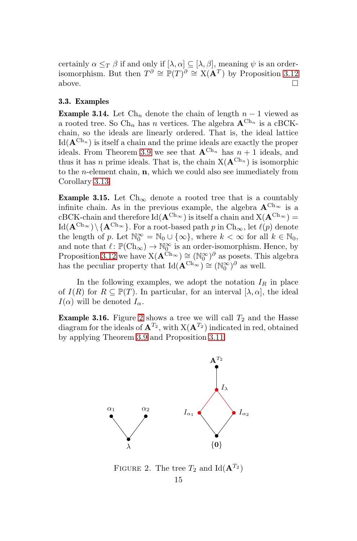certainly  $\alpha \leq_T \beta$  if and only if  $[\lambda, \alpha] \subseteq [\lambda, \beta]$ , meaning  $\psi$  is an orderisomorphism. But then  $T^{\partial} \cong \mathbb{P}(T)^{\partial} \cong X(\mathbf{A}^T)$  by Proposition [3.12](#page-13-0) above.  $\Box$ 

## 3.3. Examples

<span id="page-14-0"></span>**Example 3.14.** Let  $\text{Ch}_n$  denote the chain of length  $n-1$  viewed as a rooted tree. So Ch<sub>n</sub> has n vertices. The algebra  ${\bf A}^{\rm Ch_n}$  is a cBCKchain, so the ideals are linearly ordered. That is, the ideal lattice  $\mathrm{Id}(\mathbf{A}^{\mathrm{Ch}_n})$  is itself a chain and the prime ideals are exactly the proper ideals. From Theorem [3.9](#page-10-2) we see that  ${\bf A}^{\text{Ch}_n}$  has  $n+1$  ideals, and thus it has *n* prime ideals. That is, the chain  $X(A^{Ch_n})$  is isomorphic to the n-element chain, n, which we could also see immediately from Corollary [3.13.](#page-13-1)

<span id="page-14-1"></span>Example 3.15. Let  $\text{Ch}_{\infty}$  denote a rooted tree that is a countably infinite chain. As in the previous example, the algebra  ${\bf A}^{\rm Ch_{\infty}}$  is a  $cBCK$ -chain and therefore  $Id(\mathbf{A}^{Ch_{\infty}})$  is itself a chain and  $X(\mathbf{A}^{Ch_{\infty}})$  =  $\text{Id}(\mathbf{A}^{\text{Ch}_{\infty}})\setminus\{\mathbf{A}^{\text{Ch}_{\infty}}\}.$  For a root-based path p in  $\text{Ch}_{\infty}$ , let  $\ell(p)$  denote the length of p. Let  $\mathbb{N}_0^{\infty} = \mathbb{N}_0 \cup \{\infty\}$ , where  $k < \infty$  for all  $k \in \mathbb{N}_0$ , and note that  $\ell \colon \mathbb{P}(\mathrm{Ch}_{\infty}) \to \mathbb{N}_{\mathbb{Q}}^{\infty}$  is an order-isomorphism. Hence, by Proposition [3.12](#page-13-0) we have  $X(\mathbf{A}^{\tilde{C}h_{\infty}}) \cong (\mathbb{N}_0^{\infty})^{\partial}$  as posets. This algebra has the peculiar property that  $\mathrm{Id}(\mathbf{A}^{\mathrm{Ch}_{\infty}}) \cong (\mathbb{N}_0^{\infty})^{\partial}$  as well.

In the following examples, we adopt the notation  $I_R$  in place of  $I(R)$  for  $R \subseteq \mathbb{P}(T)$ . In particular, for an interval  $[\lambda, \alpha]$ , the ideal  $I(\alpha)$  will be denoted  $I_{\alpha}$ .

<span id="page-14-3"></span>**Example 3.16.** Figure [2](#page-14-2) shows a tree we will call  $T_2$  and the Hasse diagram for the ideals of  $\mathbf{A}^{T_2}$ , with  $X(\mathbf{A}^{T_2})$  indicated in red, obtained by applying Theorem [3.9](#page-10-2) and Proposition [3.11.](#page-12-0)



<span id="page-14-2"></span>FIGURE 2. The tree  $T_2$  and Id( $\mathbf{A}^{T_2}$ )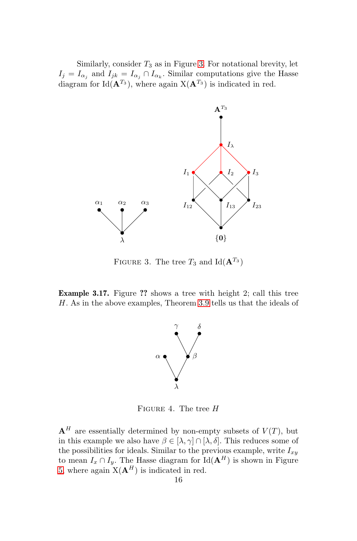Similarly, consider  $T_3$  as in Figure [3.](#page-15-0) For notational brevity, let  $I_j = I_{\alpha_j}$  and  $I_{jk} = I_{\alpha_j} \cap I_{\alpha_k}$ . Similar computations give the Hasse diagram for Id( $\mathbf{A}^{T_3}$ ), where again  $X(\mathbf{A}^{T_3})$  is indicated in red.



<span id="page-15-0"></span>FIGURE 3. The tree  $T_3$  and Id( $\mathbf{A}^{T_3}$ )

Example 3.17. Figure ?? shows a tree with height 2; call this tree H. As in the above examples, Theorem [3.9](#page-10-2) tells us that the ideals of



FIGURE 4. The tree  $H$ 

 ${\bf A}^H$  are essentially determined by non-empty subsets of  $V(T)$ , but in this example we also have  $\beta \in [\lambda, \gamma] \cap [\lambda, \delta]$ . This reduces some of the possibilities for ideals. Similar to the previous example, write  $I_{xy}$ to mean  $I_x \cap I_y$ . The Hasse diagram for Id( $\mathbf{A}^H$ ) is shown in Figure [5,](#page-16-0) where again  $X(A^H)$  is indicated in red.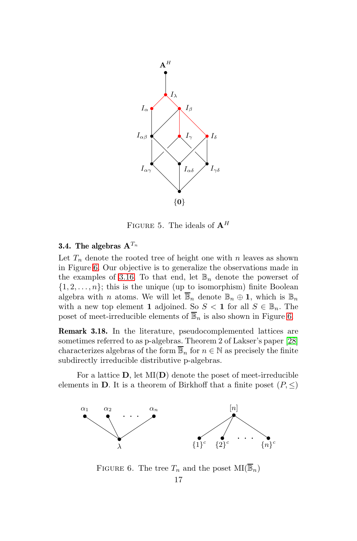

<span id="page-16-0"></span>FIGURE 5. The ideals of  $A^H$ 

# 3.4. The algebras  $A^{T_n}$

Let  $T_n$  denote the rooted tree of height one with n leaves as shown in Figure [6.](#page-16-1) Our objective is to generalize the observations made in the examples of [3.16.](#page-14-3) To that end, let  $\mathbb{B}_n$  denote the powerset of  $\{1, 2, \ldots, n\}$ ; this is the unique (up to isomorphism) finite Boolean algebra with *n* atoms. We will let  $\overline{\mathbb{B}}_n$  denote  $\mathbb{B}_n \oplus \mathbb{1}$ , which is  $\mathbb{B}_n$ with a new top element 1 adjoined. So  $S < 1$  for all  $S \in \mathbb{B}_n$ . The poset of meet-irreducible elements of  $\overline{\mathbb{B}}_n$  is also shown in Figure [6.](#page-16-1)

Remark 3.18. In the literature, pseudocomplemented lattices are sometimes referred to as p-algebras. Theorem 2 of Lakser's paper [\[28\]](#page-34-13) characterizes algebras of the form  $\overline{\mathbb{B}}_n$  for  $n \in \mathbb{N}$  as precisely the finite subdirectly irreducible distributive p-algebras.

For a lattice  $D$ , let  $MI(D)$  denote the poset of meet-irreducible elements in **D**. It is a theorem of Birkhoff that a finite poset  $(P, \leq)$ 



<span id="page-16-1"></span>FIGURE 6. The tree  $T_n$  and the poset  $\text{MI}(\overline{\mathbb{B}}_n)$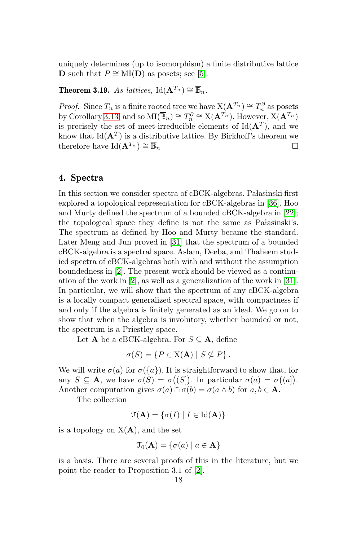uniquely determines (up to isomorphism) a finite distributive lattice **D** such that  $P \cong MI(D)$  as posets; see [\[5\]](#page-32-2).

<span id="page-17-0"></span>Theorem 3.19. As lattices, Id( ${\bf A}^{T_n}$ ) ≅  $\overline{\mathbb{B}}_n$ .

*Proof.* Since  $T_n$  is a finite rooted tree we have  $X(\mathbf{A}^{T_n}) \cong T_n^{\partial}$  as posets by Corollary [3.13,](#page-13-1) and so  $\text{MI}(\overline{\mathbb{B}}_n) \cong T_n^{\partial} \cong X(\mathbf{A}^{T_n})$ . However,  $X(\mathbf{A}^{T_n})$ is precisely the set of meet-irreducible elements of  $\text{Id}(\mathbf{A}^T)$ , and we know that  $\text{Id}(\mathbf{A}^T)$  is a distributive lattice. By Birkhoff's theorem we therefore have Id $(\mathbf{A}^{T_n}) \cong \overline{\mathbb{B}}_n$   $\square$ 

# 4. Spectra

In this section we consider spectra of cBCK-algebras. Pałasinski first explored a topological representation for cBCK-algebras in [\[36\]](#page-34-14). Hoo and Murty defined the spectrum of a bounded cBCK-algebra in [\[22\]](#page-33-13); the topological space they define is not the same as Pałasinski's. The spectrum as defined by Hoo and Murty became the standard. Later Meng and Jun proved in [\[31\]](#page-34-15) that the spectrum of a bounded cBCK-algebra is a spectral space. Aslam, Deeba, and Thaheem studied spectra of cBCK-algebras both with and without the assumption boundedness in [\[2\]](#page-32-3). The present work should be viewed as a continuation of the work in [\[2\]](#page-32-3), as well as a generalization of the work in [\[31\]](#page-34-15). In particular, we will show that the spectrum of any cBCK-algebra is a locally compact generalized spectral space, with compactness if and only if the algebra is finitely generated as an ideal. We go on to show that when the algebra is involutory, whether bounded or not, the spectrum is a Priestley space.

Let **A** be a cBCK-algebra. For  $S \subseteq \mathbf{A}$ , define

$$
\sigma(S) = \{ P \in X(\mathbf{A}) \mid S \nsubseteq P \}.
$$

We will write  $\sigma(a)$  for  $\sigma({a})$ . It is straightforward to show that, for any  $S \subseteq \mathbf{A}$ , we have  $\sigma(S) = \sigma((S))$ . In particular  $\sigma(a) = \sigma((a))$ . Another computation gives  $\sigma(a) \cap \sigma(b) = \sigma(a \wedge b)$  for  $a, b \in \mathbf{A}$ .

The collection

$$
\mathfrak{T}(\mathbf{A}) = \{ \sigma(I) \mid I \in \mathrm{Id}(\mathbf{A}) \}
$$

is a topology on  $X(A)$ , and the set

$$
\mathfrak{T}_0(\mathbf{A}) = \{ \sigma(a) \mid a \in \mathbf{A} \}
$$

is a basis. There are several proofs of this in the literature, but we point the reader to Proposition 3.1 of [\[2\]](#page-32-3).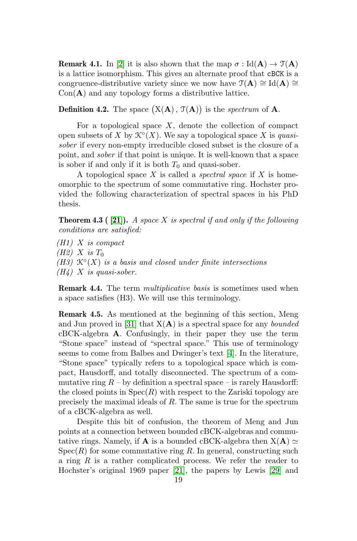<span id="page-18-0"></span>**Remark 4.1.** In [\[2\]](#page-32-3) it is also shown that the map  $\sigma : Id(\mathbf{A}) \to \mathcal{T}(\mathbf{A})$ is a lattice isomorphism. This gives an alternate proof that cBCK is a congruence-distributive variety since we now have  $\mathcal{T}(\mathbf{A}) \cong \mathrm{Id}(\mathbf{A}) \cong$  $Con(\mathbf{A})$  and any topology forms a distributive lattice.

**Definition 4.2.** The space  $(X(A), T(A))$  is the *spectrum* of A.

For a topological space  $X$ , denote the collection of compact open subsets of X by  $\mathcal{K}^{\circ}(X)$ . We say a topological space X is quasisober if every non-empty irreducible closed subset is the closure of a point, and sober if that point is unique. It is well-known that a space is sober if and only if it is both  $T_0$  and quasi-sober.

A topological space  $X$  is called a *spectral space* if  $X$  is homeomorphic to the spectrum of some commutative ring. Hochster provided the following characterization of spectral spaces in his PhD thesis.

**Theorem 4.3 ( [\[21\]](#page-33-14)).** A space X is spectral if and only if the following conditions are satisfied:

 $(H1)$  X is compact  $(H2)$  X is  $T_0$ (H3)  $\mathcal{K}^{\circ}(X)$  is a basis and closed under finite intersections  $(H_4)$  X is quasi-sober.

**Remark 4.4.** The term *multiplicative basis* is sometimes used when a space satisfies (H3). We will use this terminology.

Remark 4.5. As mentioned at the beginning of this section, Meng and Jun proved in [\[31\]](#page-34-15) that  $X(A)$  is a spectral space for any *bounded* cBCK-algebra A. Confusingly, in their paper they use the term "Stone space" instead of "spectral space." This use of terminology seems to come from Balbes and Dwinger's text [\[4\]](#page-32-4). In the literature, "Stone space" typically refers to a topological space which is compact, Hausdorff, and totally disconnected. The spectrum of a commutative ring  $R$  – by definition a spectral space – is rarely Hausdorff: the closed points in  $Spec(R)$  with respect to the Zariski topology are precisely the maximal ideals of R. The same is true for the spectrum of a cBCK-algebra as well.

Despite this bit of confusion, the theorem of Meng and Jun points at a connection between bounded cBCK-algebras and commutative rings. Namely, if **A** is a bounded cBCK-algebra then  $X(A) \simeq$  $Spec(R)$  for some commutative ring R. In general, constructing such a ring  $R$  is a rather complicated process. We refer the reader to Hochster's original 1969 paper [\[21\]](#page-33-14), the papers by Lewis [\[29\]](#page-34-16) and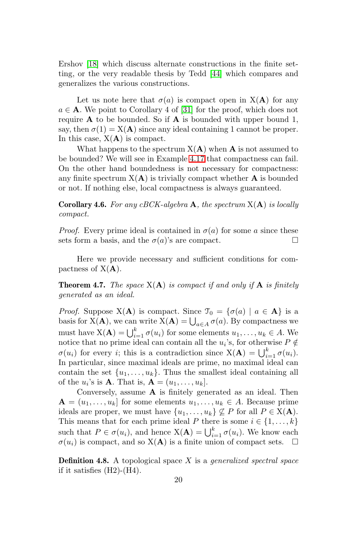Ershov [\[18\]](#page-33-15) which discuss alternate constructions in the finite setting, or the very readable thesis by Tedd [\[44\]](#page-34-17) which compares and generalizes the various constructions.

Let us note here that  $\sigma(a)$  is compact open in  $X(A)$  for any  $a \in \mathbf{A}$ . We point to Corollary 4 of [\[31\]](#page-34-15) for the proof, which does not require  $A$  to be bounded. So if  $A$  is bounded with upper bound 1, say, then  $\sigma(1) = X(\mathbf{A})$  since any ideal containing 1 cannot be proper. In this case,  $X(A)$  is compact.

What happens to the spectrum  $X(A)$  when A is not assumed to be bounded? We will see in Example [4.17](#page-25-0) that compactness can fail. On the other hand boundedness is not necessary for compactness: any finite spectrum  $X(A)$  is trivially compact whether A is bounded or not. If nothing else, local compactness is always guaranteed.

<span id="page-19-0"></span>**Corollary 4.6.** For any cBCK-algebra  $\bf{A}$ , the spectrum  $X(\bf{A})$  is locally compact.

*Proof.* Every prime ideal is contained in  $\sigma(a)$  for some a since these sets form a basis, and the  $\sigma(a)$ 's are compact.

Here we provide necessary and sufficient conditions for compactness of  $X(A)$ .

**Theorem 4.7.** The space  $X(A)$  is compact if and only if  $A$  is finitely generated as an ideal.

*Proof.* Suppose  $X(A)$  is compact. Since  $\mathcal{T}_0 = {\sigma(a) | a \in A}$  is a basis for  $X(\mathbf{A})$ , we can write  $X(\mathbf{A}) = \bigcup_{a \in A} \sigma(a)$ . By compactness we must have  $X(\mathbf{A}) = \bigcup_{i=1}^{k} \sigma(u_i)$  for some elements  $u_1, \ldots, u_k \in A$ . We notice that no prime ideal can contain all the  $u_i$ 's, for otherwise  $P \notin \mathcal{L}$  $\sigma(u_i)$  for every *i*; this is a contradiction since  $X(\mathbf{A}) = \bigcup_{i=1}^k \sigma(u_i)$ . In particular, since maximal ideals are prime, no maximal ideal can contain the set  $\{u_1, \ldots, u_k\}$ . Thus the smallest ideal containing all of the  $u_i$ 's is **A**. That is,  $\mathbf{A} = (u_1, \dots, u_k]$ .

Conversely, assume A is finitely generated as an ideal. Then  $A = (u_1, \ldots, u_k]$  for some elements  $u_1, \ldots, u_k \in A$ . Because prime ideals are proper, we must have  $\{u_1, \ldots, u_k\} \nsubseteq P$  for all  $P \in X(\mathbf{A})$ . This means that for each prime ideal P there is some  $i \in \{1, ..., k\}$ such that  $P \in \sigma(u_i)$ , and hence  $X(\mathbf{A}) = \bigcup_{i=1}^k \sigma(u_i)$ . We know each  $\sigma(u_i)$  is compact, and so  $X(A)$  is a finite union of compact sets.

**Definition 4.8.** A topological space  $X$  is a *generalized spectral space* if it satisfies  $(H2)-(H4)$ .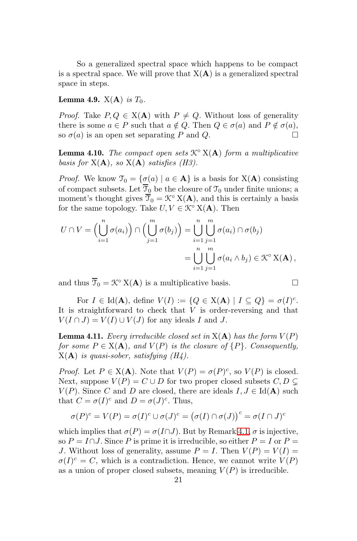So a generalized spectral space which happens to be compact is a spectral space. We will prove that  $X(A)$  is a generalized spectral space in steps.

<span id="page-20-0"></span>**Lemma 4.9.**  $X(A)$  is  $T_0$ .

*Proof.* Take  $P, Q \in X(A)$  with  $P \neq Q$ . Without loss of generality there is some  $a \in P$  such that  $a \notin Q$ . Then  $Q \in \sigma(a)$  and  $P \notin \sigma(a)$ , so  $\sigma(a)$  is an open set separating P and Q.

<span id="page-20-1"></span>**Lemma 4.10.** The compact open sets  $\mathcal{K}^{\circ}$   $X(A)$  form a multiplicative basis for  $X(A)$ , so  $X(A)$  satisfies (H3).

*Proof.* We know  $\mathcal{T}_0 = {\sigma(a) | a \in \mathbf{A}}$  is a basis for  $X(\mathbf{A})$  consisting of compact subsets. Let  $\overline{\mathcal{T}}_0$  be the closure of  $\mathcal{T}_0$  under finite unions; a moment's thought gives  $\overline{\mathcal{T}}_0 = \mathcal{K}^\circ X(\mathbf{A})$ , and this is certainly a basis for the same topology. Take  $U, V \in \mathcal{K}^{\circ} \times (\mathbf{A})$ . Then

$$
U \cap V = \left(\bigcup_{i=1}^{n} \sigma(a_i)\right) \cap \left(\bigcup_{j=1}^{m} \sigma(b_j)\right) = \bigcup_{i=1}^{n} \bigcup_{j=1}^{m} \sigma(a_i) \cap \sigma(b_j)
$$
  
= 
$$
\bigcup_{i=1}^{n} \bigcup_{j=1}^{m} \sigma(a_i \wedge b_j) \in \mathcal{K}^{\circ} \mathbf{X}(\mathbf{A}),
$$

and thus  $\overline{\mathcal{T}}_0 = \mathcal{K}^\circ X(\mathbf{A})$  is a multiplicative basis.

For  $I \in \text{Id}(\mathbf{A})$ , define  $V(I) := \{ Q \in \text{X}(\mathbf{A}) \mid I \subseteq Q \} = \sigma(I)^c$ . It is straightforward to check that  $V$  is order-reversing and that  $V(I \cap J) = V(I) \cup V(J)$  for any ideals I and J.

<span id="page-20-2"></span>**Lemma 4.11.** Every irreducible closed set in  $X(A)$  has the form  $V(P)$ for some  $P \in X(\mathbf{A})$ , and  $V(P)$  is the closure of  $\{P\}$ . Consequently,  $X(A)$  is quasi-sober, satisfying  $(H_4)$ .

*Proof.* Let  $P \in X(\mathbf{A})$ . Note that  $V(P) = \sigma(P)^c$ , so  $V(P)$  is closed. Next, suppose  $V(P) = C \cup D$  for two proper closed subsets  $C, D \subset$  $V(P)$ . Since C and D are closed, there are ideals  $I, J \in Id(A)$  such that  $C = \sigma(I)^c$  and  $D = \sigma(J)^c$ . Thus,

$$
\sigma(P)^c = V(P) = \sigma(I)^c \cup \sigma(J)^c = (\sigma(I) \cap \sigma(J))^c = \sigma(I \cap J)^c
$$

which implies that  $\sigma(P) = \sigma(I \cap J)$ . But by Remark [4.1,](#page-18-0)  $\sigma$  is injective, so  $P = I \cap J$ . Since P is prime it is irreducible, so either  $P = I$  or  $P =$ J. Without loss of generality, assume  $P = I$ . Then  $V(P) = V(I) =$  $\sigma(I)^c = C$ , which is a contradiction. Hence, we cannot write  $V(P)$ as a union of proper closed subsets, meaning  $V(P)$  is irreducible.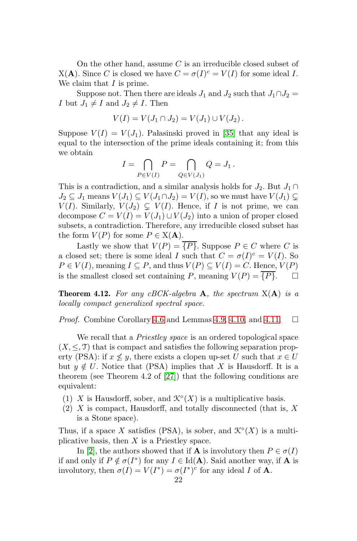On the other hand, assume  $C$  is an irreducible closed subset of  $X(A)$ . Since C is closed we have  $C = \sigma(I)^c = V(I)$  for some ideal I. We claim that  $I$  is prime.

Suppose not. Then there are ideals  $J_1$  and  $J_2$  such that  $J_1 \cap J_2 =$ I but  $J_1 \neq I$  and  $J_2 \neq I$ . Then

$$
V(I) = V(J_1 \cap J_2) = V(J_1) \cup V(J_2).
$$

Suppose  $V(I) = V(J_1)$ . Palasinski proved in [35] that any ideal is equal to the intersection of the prime ideals containing it; from this we obtain

$$
I = \bigcap_{P \in V(I)} P = \bigcap_{Q \in V(J_1)} Q = J_1.
$$

This is a contradiction, and a similar analysis holds for  $J_2$ . But  $J_1 \cap$  $J_2 \subseteq J_1$  means  $V(J_1) \subseteq V(J_1 \cap J_2) = V(I)$ , so we must have  $V(J_1) \subsetneq$  $V(I)$ . Similarly,  $V(J_2) \subseteq V(I)$ . Hence, if I is not prime, we can decompose  $C = V(I) = V(J_1) \cup V(J_2)$  into a union of proper closed subsets, a contradiction. Therefore, any irreducible closed subset has the form  $V(P)$  for some  $P \in X(\mathbf{A})$ .

Lastly we show that  $V(P) = \{P\}$ . Suppose  $P \in C$  where C is a closed set; there is some ideal I such that  $C = \sigma(I)^c = V(I)$ . So  $P \in V(I)$ , meaning  $I \subseteq P$ , and thus  $V(P) \subseteq V(I) = C$ . Hence,  $V(P)$ is the smallest closed set containing P, meaning  $V(P) = \overline{\{P\}}$ .

**Theorem 4.12.** For any cBCK-algebra  $\bf{A}$ , the spectrum  $X(\bf{A})$  is a locally compact generalized spectral space.

*Proof.* Combine Corollary [4.6](#page-19-0) and Lemmas [4.9,](#page-20-0) [4.10,](#page-20-1) and [4.11.](#page-20-2)  $\Box$ 

We recall that a *Priestley space* is an ordered topological space  $(X, \leq, \mathcal{T})$  that is compact and satisfies the following separation property (PSA): if  $x \not\leq y$ , there exists a clopen up-set U such that  $x \in U$ but  $y \notin U$ . Notice that (PSA) implies that X is Hausdorff. It is a theorem (see Theorem 4.2 of [\[27\]](#page-34-18)) that the following conditions are equivalent:

- (1) X is Hausdorff, sober, and  $\mathcal{K}^{\circ}(X)$  is a multiplicative basis.
- (2) X is compact, Hausdorff, and totally disconnected (that is, X is a Stone space).

Thus, if a space X satisfies (PSA), is sober, and  $\mathcal{K}^{\circ}(X)$  is a multiplicative basis, then  $X$  is a Priestley space.

In [\[2\]](#page-32-3), the authors showed that if **A** is involutory then  $P \in \sigma(I)$ if and only if  $P \notin \sigma(I^*)$  for any  $I \in \text{Id}(A)$ . Said another way, if A is involutory, then  $\sigma(I) = V(I^*) = \sigma(I^*)^c$  for any ideal I of **A**.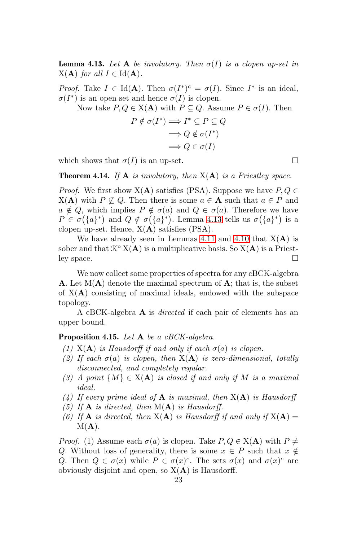<span id="page-22-1"></span>**Lemma 4.13.** Let A be involutory. Then  $\sigma(I)$  is a clopen up-set in  $X(A)$  for all  $I \in Id(A)$ .

*Proof.* Take  $I \in \text{Id}(\mathbf{A})$ . Then  $\sigma(I^*)^c = \sigma(I)$ . Since  $I^*$  is an ideal,  $\sigma(I^*)$  is an open set and hence  $\sigma(I)$  is clopen.

Now take  $P, Q \in X(\mathbf{A})$  with  $P \subseteq Q$ . Assume  $P \in \sigma(I)$ . Then

$$
P \notin \sigma(I^*) \Longrightarrow I^* \subseteq P \subseteq Q
$$

$$
\Longrightarrow Q \notin \sigma(I^*)
$$

$$
\Longrightarrow Q \in \sigma(I)
$$

which shows that  $\sigma(I)$  is an up-set.

<span id="page-22-0"></span>**Theorem 4.14.** If  $A$  is involutory, then  $X(A)$  is a Priestley space.

*Proof.* We first show  $X(A)$  satisfies (PSA). Suppose we have  $P, Q \in$  $X(A)$  with  $P \not\subseteq Q$ . Then there is some  $a \in A$  such that  $a \in P$  and  $a \notin Q$ , which implies  $P \notin \sigma(a)$  and  $Q \in \sigma(a)$ . Therefore we have  $P \in \sigma({a}^*)$  and  $Q \notin \sigma({a}^*)$ . Lemma [4.13](#page-22-1) tells us  $\sigma({a}^*)$  is a clopen up-set. Hence,  $X(A)$  satisfies (PSA).

We have already seen in Lemmas [4.11](#page-20-2) and [4.10](#page-20-1) that  $X(A)$  is sober and that  $\mathcal{K}^{\circ} X(\mathbf{A})$  is a multiplicative basis. So  $X(\mathbf{A})$  is a Priestley space.

We now collect some properties of spectra for any cBCK-algebra **A.** Let  $M(A)$  denote the maximal spectrum of A; that is, the subset of  $X(A)$  consisting of maximal ideals, endowed with the subspace topology.

A cBCK-algebra A is directed if each pair of elements has an upper bound.

### **Proposition 4.15.** Let  $A$  be a cBCK-algebra.

- (1)  $X(A)$  is Hausdorff if and only if each  $\sigma(a)$  is clopen.
- (2) If each  $\sigma(a)$  is clopen, then  $X(A)$  is zero-dimensional, totally disconnected, and completely regular.
- (3) A point  $\{M\} \in X(\mathbf{A})$  is closed if and only if M is a maximal ideal.
- (4) If every prime ideal of  $A$  is maximal, then  $X(A)$  is Hausdorff
- (5) If  $\bf{A}$  is directed, then  $M(\bf{A})$  is Hausdorff.
- (6) If **A** is directed, then  $X(A)$  is Hausdorff if and only if  $X(A) =$  $M(A)$ .

*Proof.* (1) Assume each  $\sigma(a)$  is clopen. Take  $P, Q \in X(\mathbf{A})$  with  $P \neq$ Q. Without loss of generality, there is some  $x \in P$  such that  $x \notin$ Q. Then  $Q \in \sigma(x)$  while  $P \in \sigma(x)^c$ . The sets  $\sigma(x)$  and  $\sigma(x)^c$  are obviously disjoint and open, so  $X(A)$  is Hausdorff.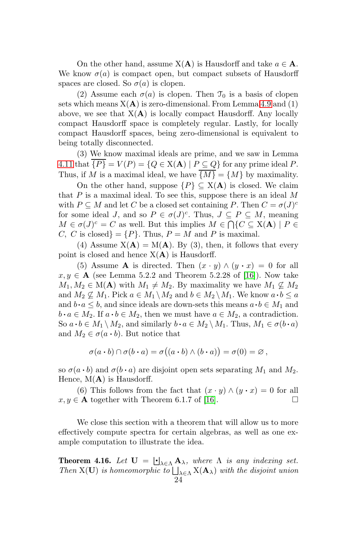On the other hand, assume  $X(A)$  is Hausdorff and take  $a \in A$ . We know  $\sigma(a)$  is compact open, but compact subsets of Hausdorff spaces are closed. So  $\sigma(a)$  is clopen.

(2) Assume each  $\sigma(a)$  is clopen. Then  $\mathcal{T}_0$  is a basis of clopen sets which means  $X(A)$  is zero-dimensional. From Lemma [4.9](#page-20-0) and (1) above, we see that  $X(A)$  is locally compact Hausdorff. Any locally compact Hausdorff space is completely regular. Lastly, for locally compact Hausdorff spaces, being zero-dimensional is equivalent to being totally disconnected.

(3) We know maximal ideals are prime, and we saw in Lemma [4.11](#page-20-2) that  $\overline{\{P\}} = V(P) = \{Q \in X(\mathbf{A}) \mid P \subseteq Q\}$  for any prime ideal P. Thus, if M is a maximal ideal, we have  $\overline{\{M\}} = \{M\}$  by maximality.

On the other hand, suppose  $\{P\} \subseteq X(\mathbf{A})$  is closed. We claim that  $P$  is a maximal ideal. To see this, suppose there is an ideal  $M$ with  $P \subseteq M$  and let C be a closed set containing P. Then  $C = \sigma(J)^c$ for some ideal J, and so  $P \in \sigma(J)^c$ . Thus,  $J \subseteq P \subseteq M$ , meaning  $M \in \sigma(J)^c = C$  as well. But this implies  $M \in \bigcap \{C \subseteq X(\mathbf{A}) \mid P \in$ C, C is closed} =  $\{P\}$ . Thus,  $P = M$  and P is maximal.

(4) Assume  $X(A) = M(A)$ . By (3), then, it follows that every point is closed and hence  $X(A)$  is Hausdorff.

(5) Assume **A** is directed. Then  $(x \cdot y) \wedge (y \cdot x) = 0$  for all  $x, y \in A$  (see Lemma 5.2.2 and Theorem 5.2.28 of [\[16\]](#page-33-16)). Now take  $M_1, M_2 \in M(\mathbf{A})$  with  $M_1 \neq M_2$ . By maximality we have  $M_1 \not\subseteq M_2$ and  $M_2 \nsubseteq M_1$ . Pick  $a \in M_1 \setminus M_2$  and  $b \in M_2 \setminus M_1$ . We know  $a \cdot b \le a$ and  $b \cdot a \leq b$ , and since ideals are down-sets this means  $a \cdot b \in M_1$  and  $b \cdot a \in M_2$ . If  $a \cdot b \in M_2$ , then we must have  $a \in M_2$ , a contradiction. So  $a \cdot b \in M_1 \setminus M_2$ , and similarly  $b \cdot a \in M_2 \setminus M_1$ . Thus,  $M_1 \in \sigma(b \cdot a)$ and  $M_2 \in \sigma(a \cdot b)$ . But notice that

$$
\sigma(a \cdot b) \cap \sigma(b \cdot a) = \sigma((a \cdot b) \wedge (b \cdot a)) = \sigma(0) = \varnothing,
$$

so  $\sigma(a \cdot b)$  and  $\sigma(b \cdot a)$  are disjoint open sets separating  $M_1$  and  $M_2$ . Hence,  $M(A)$  is Hausdorff.

(6) This follows from the fact that  $(x \cdot y) \wedge (y \cdot x) = 0$  for all  $x, y \in \mathbf{A}$  together with Theorem 6.1.7 of [\[16\]](#page-33-16).

We close this section with a theorem that will allow us to more effectively compute spectra for certain algebras, as well as one example computation to illustrate the idea.

<span id="page-23-0"></span>**Theorem 4.16.** Let  $\mathbf{U} = \bigsqcup_{\lambda \in \Lambda} \mathbf{A}_{\lambda}$ , where  $\Lambda$  is any indexing set. Then X(U) is homeomorphic to  $\bigsqcup_{\lambda \in \Lambda} X(\mathbf{A}_{\lambda})$  with the disjoint union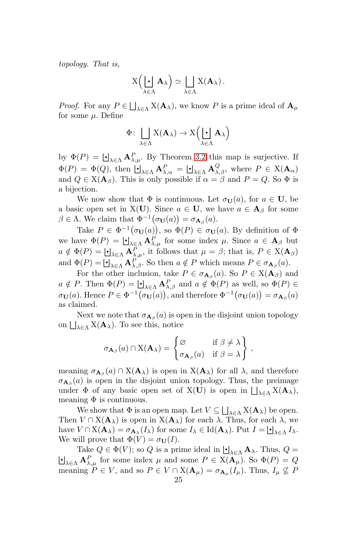topology. That is,

$$
X\left(\underbrace{\cdot\cdot}_{\lambda\in\Lambda}\mathbf{A}_{\lambda}\right)\simeq \bigsqcup_{\lambda\in\Lambda}X(\mathbf{A}_{\lambda}).
$$

*Proof.* For any  $P \in \bigsqcup_{\lambda \in \Lambda} X(\mathbf{A}_{\lambda})$ , we know P is a prime ideal of  $\mathbf{A}_{\mu}$ for some  $\mu$ . Define

$$
\Phi\colon \bigsqcup_{\lambda\in\Lambda}X(\mathbf A_\lambda)\to X\Big(\bigsqcup_{\lambda\in\Lambda}\mathbf A_\lambda\Big)
$$

by  $\Phi(P) = \bigsqcup_{\lambda \in \Lambda} \mathbf{A}_{\lambda,\mu}^P$ . By Theorem [3.2](#page-7-2) this map is surjective. If  $\Phi(P) = \Phi(Q)$ , then  $\Box_{\lambda \in \Lambda} \mathbf{A}_{\lambda, \alpha}^P = \Box_{\lambda \in \Lambda} \mathbf{A}_{\lambda, \beta}^Q$ , where  $P \in X(\mathbf{A}_{\alpha})$ and  $Q \in X(\mathbf{A}_{\beta})$ . This is only possible if  $\alpha = \beta$  and  $P = Q$ . So  $\Phi$  is a bijection.

We now show that  $\Phi$  is continuous. Let  $\sigma_{\mathbf{U}}(a)$ , for  $a \in \mathbf{U}$ , be a basic open set in X(U). Since  $a \in U$ , we have  $a \in A_\beta$  for some  $\beta \in \Lambda$ . We claim that  $\Phi^{-1}(\sigma_{\mathbf{U}}(a)) = \sigma_{\mathbf{A}_{\beta}}(a)$ .

Take  $P \in \Phi^{-1}(\sigma_{\mathbf{U}}(a))$ , so  $\Phi(P) \in \sigma_{\mathbf{U}}(a)$ . By definition of  $\Phi$ we have  $\Phi(P) = \bigsqcup_{\substack{\lambda \in \Lambda}} A_{\lambda,\mu}^P$  for some index  $\mu$ . Since  $a \in A_\beta$  but  $a \notin \Phi(P) = \bigsqcup_{\lambda \in \Lambda} A_{\lambda,\mu}^P$ , it follows that  $\mu = \beta$ ; that is,  $P \in X(\mathbf{A}_{\beta})$ and  $\Phi(P) = \bigcup_{\lambda \in \Lambda} A_{\lambda,\beta}^{P,\mu}$ . So then  $a \notin P$  which means  $P \in \sigma_{A_{\beta}}(a)$ .

For the other inclusion, take  $P \in \sigma_{\mathbf{A}_{\beta}}(a)$ . So  $P \in X(\mathbf{A}_{\beta})$  and  $a \notin P$ . Then  $\Phi(P) = \bigsqcup_{\lambda \in \Lambda} \mathbf{A}_{\lambda, \beta}^P$  and  $a \notin \Phi(P)$  as well, so  $\Phi(P) \in$  $\sigma_{\mathbf{U}}(a)$ . Hence  $P \in \Phi^{-1}(\sigma_{\mathbf{U}}(a))$ , and therefore  $\Phi^{-1}(\sigma_{\mathbf{U}}(a)) = \sigma_{\mathbf{A}_{\beta}}(a)$ as claimed.

Next we note that  $\sigma_{\mathbf{A}\beta}(a)$  is open in the disjoint union topology on  $\bigsqcup_{\lambda \in \Lambda} X(\mathbf{A}_{\lambda})$ . To see this, notice

$$
\sigma_{\mathbf{A}_{\beta}}(a) \cap X(\mathbf{A}_{\lambda}) = \begin{cases} \varnothing & \text{if } \beta \neq \lambda \\ \sigma_{\mathbf{A}_{\beta}}(a) & \text{if } \beta = \lambda \end{cases},
$$

meaning  $\sigma_{\mathbf{A}_{\beta}}(a) \cap X(\mathbf{A}_{\lambda})$  is open in  $X(\mathbf{A}_{\lambda})$  for all  $\lambda$ , and therefore  $\sigma_{\mathbf{A}_{\beta}}(a)$  is open in the disjoint union topology. Thus, the preimage under  $\Phi$  of any basic open set of  $X(U)$  is open in  $\bigsqcup_{\lambda \in \Lambda} X(\mathbf{A}_{\lambda}),$ meaning  $\Phi$  is continuous.

We show that  $\Phi$  is an open map. Let  $V \subseteq \bigsqcup_{\lambda \in \Lambda} X(\mathbf{A}_{\lambda})$  be open. Then  $V \cap X(\mathbf{A}_{\lambda})$  is open in  $X(\mathbf{A}_{\lambda})$  for each  $\lambda$ . Thus, for each  $\lambda$ , we have  $V \cap X(\mathbf{A}_{\lambda}) = \sigma_{\mathbf{A},i}(I_{\lambda})$  for some  $I_{\lambda} \in \text{Id}(\mathbf{A}_{\lambda})$ . Put  $I = \bigsqcup_{\lambda \in \Lambda} I_{\lambda}$ . We will prove that  $\Phi(V) = \sigma_{\mathbf{U}}(I)$ .

Take  $Q \in \Phi(V)$ ; so Q is a prime ideal in  $\bigcup_{\lambda \in \Lambda} \mathbf{A}_{\lambda}$ . Thus,  $Q =$ Take  $Q \in \Phi(V)$ ; so Q is a prime ideal in  $\bigcup_{\lambda \in \Lambda} A_{\lambda}$ . Thus,  $Q = \bigcup_{\lambda \in \Lambda} A_{\lambda,\mu}^P$  for some index  $\mu$  and some  $P \in X(A_{\mu})$ . So  $\Phi(P) = Q$ meaning  $P \in V$ , and so  $P \in V \cap X(\mathbf{A}_{\mu}) = \sigma_{\mathbf{A}_{\mu}}(I_{\mu})$ . Thus,  $I_{\mu} \nsubseteq P$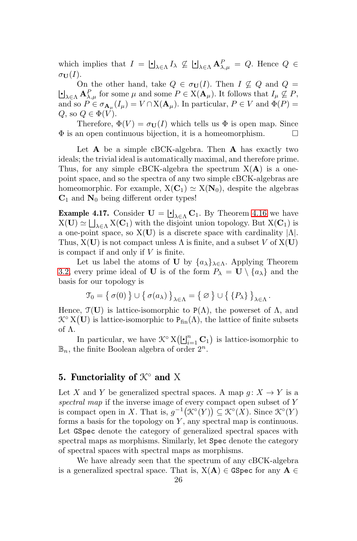which implies that  $I = \bigcup_{\lambda \in \Lambda} I_{\lambda} \not\subseteq \bigcup_{\lambda \in \Lambda} A_{\lambda,\mu}^P = Q$ . Hence  $Q \in$  $\sigma_{\mathbf{U}}(I).$ 

On the other hand, take  $Q \in \sigma_{\mathbf{U}}(I)$ . Then  $I \nsubseteq Q$  and  $Q =$  $\Box_{\lambda \in \Lambda} \mathbf{A}_{\lambda,\mu}^P$  for some  $\mu$  and some  $P \in X(\mathbf{A}_\mu)$ . It follows that  $I_\mu \nsubseteq P$ , and so  $P \in \sigma_{\mathbf{A}_{\mu}}(I_{\mu}) = V \cap X(\mathbf{A}_{\mu})$ . In particular,  $P \in V$  and  $\Phi(P) =$ Q, so  $Q \in \Phi(V)$ .

Therefore,  $\Phi(V) = \sigma_{\mathbf{U}}(I)$  which tells us  $\Phi$  is open map. Since  $\Phi$  is an open continuous bijection, it is a homeomorphism.  $\square$ 

Let  $\bf{A}$  be a simple cBCK-algebra. Then  $\bf{A}$  has exactly two ideals; the trivial ideal is automatically maximal, and therefore prime. Thus, for any simple cBCK-algebra the spectrum  $X(A)$  is a onepoint space, and so the spectra of any two simple cBCK-algebras are homeomorphic. For example,  $X(C_1) \simeq X(N_0)$ , despite the algebras  $C_1$  and  $N_0$  being different order types!

<span id="page-25-0"></span>**Example 4.17.** Consider  $\mathbf{U} = \bigcup_{\lambda \in \Lambda} \mathbf{C}_1$ . By Theorem [4.16](#page-23-0) we have  $X(U) \simeq \bigsqcup_{\lambda \in \Lambda} X(C_1)$  with the disjoint union topology. But  $X(C_1)$  is a one-point space, so  $X(U)$  is a discrete space with cardinality  $|\Lambda|$ . Thus,  $X(U)$  is not compact unless  $\Lambda$  is finite, and a subset V of  $X(U)$ is compact if and only if  $V$  is finite.

Let us label the atoms of U by  $\{a_{\lambda}\}_{{\lambda}\in\Lambda}$ . Applying Theorem [3.2,](#page-7-2) every prime ideal of **U** is of the form  $P_{\lambda} = \mathbf{U} \setminus \{a_{\lambda}\}\$ and the basis for our topology is

$$
\mathcal{T}_0 = \left\{ \sigma(0) \right\} \cup \left\{ \sigma(a_\lambda) \right\}_{\lambda \in \Lambda} = \left\{ \varnothing \right\} \cup \left\{ \left\{ P_\lambda \right\} \right\}_{\lambda \in \Lambda}.
$$

Hence,  $\mathfrak{T}(\mathbf{U})$  is lattice-isomorphic to P( $\Lambda$ ), the powerset of  $\Lambda$ , and  $\mathcal{K}^{\circ}$  X(U) is lattice-isomorphic to  $P_{fin}(\Lambda)$ , the lattice of finite subsets of Λ.

In particular, we have  $\mathcal{K}^{\circ} X(\bigsqcup_{i=1}^{n} \mathbf{C}_1)$  is lattice-isomorphic to  $\mathbb{B}_n$ , the finite Boolean algebra of order  $2^n$ .

# 5. Functoriality of  $K<sup>°</sup>$  and X

Let X and Y be generalized spectral spaces. A map  $g: X \to Y$  is a spectral map if the inverse image of every compact open subset of Y is compact open in X. That is,  $g^{-1}(\mathcal{K}^{\circ}(Y)) \subseteq \mathcal{K}^{\circ}(X)$ . Since  $\mathcal{K}^{\circ}(Y)$ forms a basis for the topology on  $Y$ , any spectral map is continuous. Let GSpec denote the category of generalized spectral spaces with spectral maps as morphisms. Similarly, let Spec denote the category of spectral spaces with spectral maps as morphisms.

We have already seen that the spectrum of any cBCK-algebra is a generalized spectral space. That is,  $X(A) \in GSpec$  for any  $A \in$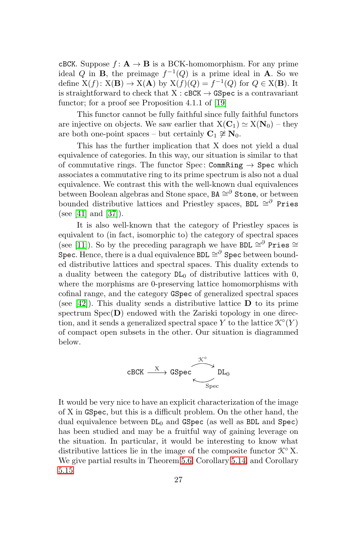cBCK. Suppose  $f: \mathbf{A} \to \mathbf{B}$  is a BCK-homomorphism. For any prime ideal Q in **B**, the preimage  $f^{-1}(Q)$  is a prime ideal in **A**. So we define  $X(f) \colon X(\mathbf{B}) \to X(\mathbf{A})$  by  $X(f)(Q) = f^{-1}(Q)$  for  $Q \in X(\mathbf{B})$ . It is straightforward to check that  $X : cBCK \rightarrow GSpec$  is a contravariant functor; for a proof see Proposition 4.1.1 of [\[19\]](#page-33-5)

This functor cannot be fully faithful since fully faithful functors are injective on objects. We saw earlier that  $X(\mathbf{C}_1) \simeq X(\mathbf{N}_0) - \text{they}$ are both one-point spaces – but certainly  $C_1 \not\cong N_0$ .

This has the further implication that X does not yield a dual equivalence of categories. In this way, our situation is similar to that of commutative rings. The functor Spec: CommRing  $\rightarrow$  Spec which associates a commutative ring to its prime spectrum is also not a dual equivalence. We contrast this with the well-known dual equivalences between Boolean algebras and Stone space,  $BA \cong^{\partial}$  Stone, or between bounded distributive lattices and Priestley spaces, BDL  $\cong^{\partial}$  Pries (see [\[41\]](#page-34-3) and [\[37\]](#page-34-4)).

It is also well-known that the category of Priestley spaces is equivalent to (in fact, isomorphic to) the category of spectral spaces (see [\[11\]](#page-33-17)). So by the preceding paragraph we have BDL  $\cong^{\partial}$  Pries  $\cong$ Spec. Hence, there is a dual equivalence BDL  $\cong^\partial$  Spec between bounded distributive lattices and spectral spaces. This duality extends to a duality between the category  $DL_0$  of distributive lattices with 0, where the morphisms are 0-preserving lattice homomorphisms with cofinal range, and the category GSpec of generalized spectral spaces (see [\[42\]](#page-34-19)). This duality sends a distributive lattice  **to its prime** spectrum  $Spec(D)$  endowed with the Zariski topology in one direction, and it sends a generalized spectral space Y to the lattice  $\mathcal{K}^{\circ}(Y)$ of compact open subsets in the other. Our situation is diagrammed below.

$$
\texttt{cBCK} \xrightarrow{\texttt{X}} \texttt{GSpec} \xrightarrow{\texttt{X}^{\circ}} \texttt{DL}_0
$$

It would be very nice to have an explicit characterization of the image of X in GSpec, but this is a difficult problem. On the other hand, the dual equivalence between  $DL_0$  and  $GSpec$  (as well as BDL and Spec) has been studied and may be a fruitful way of gaining leverage on the situation. In particular, it would be interesting to know what distributive lattices lie in the image of the composite functor  $\mathcal{K}^{\circ}$  X. We give partial results in Theorem [5.6,](#page-28-0) Corollary [5.14,](#page-32-5) and Corollary [5.15](#page-32-6)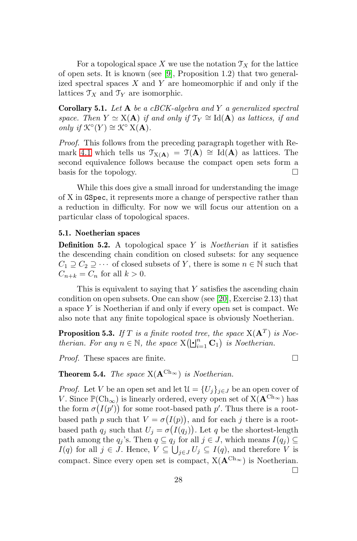For a topological space X we use the notation  $\mathcal{T}_X$  for the lattice of open sets. It is known (see [\[9\]](#page-33-18), Proposition 1.2) that two generalized spectral spaces  $X$  and  $Y$  are homeomorphic if and only if the lattices  $\mathcal{T}_X$  and  $\mathcal{T}_Y$  are isomorphic.

**Corollary 5.1.** Let  $A$  be a cBCK-algebra and Y a generalized spectral space. Then  $Y \simeq X(A)$  if and only if  $\mathfrak{T}_Y \cong \text{Id}(A)$  as lattices, if and only if  $\mathcal{K}^{\circ}(Y) \cong \mathcal{K}^{\circ} \times (\mathbf{A})$ .

Proof. This follows from the preceding paragraph together with Re-mark [4.1](#page-18-0) which tells us  $\mathcal{T}_{X(A)} = \mathcal{T}(A) \cong Id(A)$  as lattices. The second equivalence follows because the compact open sets form a basis for the topology.  $\Box$ 

While this does give a small inroad for understanding the image of X in GSpec, it represents more a change of perspective rather than a reduction in difficulty. For now we will focus our attention on a particular class of topological spaces.

### 5.1. Noetherian spaces

**Definition 5.2.** A topological space Y is *Noetherian* if it satisfies the descending chain condition on closed subsets: for any sequence  $C_1 \supseteq C_2 \supseteq \cdots$  of closed subsets of Y, there is some  $n \in \mathbb{N}$  such that  $C_{n+k} = C_n$  for all  $k > 0$ .

This is equivalent to saying that  $Y$  satisfies the ascending chain condition on open subsets. One can show (see [\[20\]](#page-33-19), Exercise 2.13) that a space Y is Noetherian if and only if every open set is compact. We also note that any finite topological space is obviously Noetherian.

<span id="page-27-1"></span>**Proposition 5.3.** If T is a finite rooted tree, the space  $X(A^T)$  is Noetherian. For any  $n \in \mathbb{N}$ , the space  $X(\lfloor \frac{n}{i-1} C_1 \rfloor)$  is Noetherian.

*Proof.* These spaces are finite.  $\square$ 

<span id="page-27-0"></span>**Theorem 5.4.** The space  $X(A^{Ch_{\infty}})$  is Noetherian.

*Proof.* Let V be an open set and let  $\mathcal{U} = \{U_j\}_{j\in J}$  be an open cover of V. Since  $\mathbb{P}(\mathrm{Ch}_{\infty})$  is linearly ordered, every open set of  $X(\mathbf{A}^{\mathrm{Ch}_{\infty}})$  has the form  $\sigma(I(p'))$  for some root-based path p'. Thus there is a rootbased path p such that  $V = \sigma(I(p))$ , and for each j there is a rootbased path  $q_j$  such that  $U_j = \sigma(I(q_j))$ . Let q be the shortest-length path among the  $q_j$ 's. Then  $q \subseteq q_j$  for all  $j \in J$ , which means  $I(q_j) \subseteq$  $I(q)$  for all  $j \in J$ . Hence,  $V \subseteq \bigcup_{j \in J} U_j \subseteq I(q)$ , and therefore V is compact. Since every open set is compact,  $X(\mathbf{A}^{Ch_{\infty}})$  is Noetherian.  $\Box$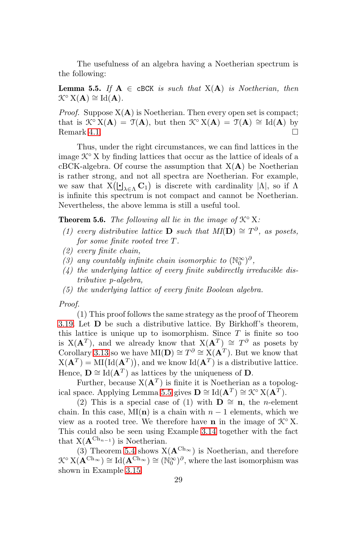The usefulness of an algebra having a Noetherian spectrum is the following:

<span id="page-28-1"></span>**Lemma 5.5.** If  $A \in \text{cBCK}$  is such that  $X(A)$  is Noetherian, then  $\mathcal{K}^{\circ} X(\mathbf{A}) \cong \mathrm{Id}(\mathbf{A}).$ 

*Proof.* Suppose  $X(A)$  is Noetherian. Then every open set is compact; that is  $\mathcal{K} \circ X(\mathbf{A}) = \mathcal{T}(\mathbf{A})$ , but then  $\mathcal{K} \circ X(\mathbf{A}) = \mathcal{T}(\mathbf{A}) \cong \text{Id}(\mathbf{A})$  by Remark [4.1.](#page-18-0)  $\Box$ 

Thus, under the right circumstances, we can find lattices in the image  $\mathcal{K}^{\circ}$  X by finding lattices that occur as the lattice of ideals of a cBCK-algebra. Of course the assumption that  $X(A)$  be Noetherian is rather strong, and not all spectra are Noetherian. For example, we saw that  $X(\sqcup_{\lambda \in \Lambda} C_1)$  is discrete with cardinality  $|\Lambda|$ , so if  $\Lambda$ is infinite this spectrum is not compact and cannot be Noetherian. Nevertheless, the above lemma is still a useful tool.

<span id="page-28-0"></span>**Theorem 5.6.** The following all lie in the image of  $\mathcal{K}^{\circ}$  X:

- (1) every distributive lattice **D** such that  $MI(D) \cong T^{\partial}$ , as posets, for some finite rooted tree T .
- (2) every finite chain,
- (3) any countably infinite chain isomorphic to  $(\mathbb{N}_0^{\infty})^{\partial}$ ,
- $(4)$  the underlying lattice of every finite subdirectly irreducible distributive p-algebra,
- (5) the underlying lattice of every finite Boolean algebra.

Proof.

(1) This proof follows the same strategy as the proof of Theorem [3.19.](#page-17-0) Let D be such a distributive lattice. By Birkhoff's theorem, this lattice is unique up to isomorphism. Since  $T$  is finite so too is  $X(A^T)$ , and we already know that  $X(A^T) \cong T^{\partial}$  as posets by Corollary [3.13](#page-13-1) so we have MI(D)  $\cong T^{\partial} \cong X(A^T)$ . But we know that  $X(\mathbf{A}^T) = MI(Id(\mathbf{A}^T)),$  and we know  $Id(\mathbf{A}^T)$  is a distributive lattice. Hence,  $\mathbf{D} \cong \text{Id}(\mathbf{A}^T)$  as lattices by the uniqueness of  $\mathbf{D}$ .

Further, because  $X(A^T)$  is finite it is Noetherian as a topolog-ical space. Applying Lemma [5.5](#page-28-1) gives  $\mathbf{D} \cong \text{Id}(\mathbf{A}^T) \cong \mathcal{K}^{\circ} \text{X}(\mathbf{A}^T)$ .

(2) This is a special case of (1) with  $\mathbf{D} \cong \mathbf{n}$ , the *n*-element chain. In this case, MI(n) is a chain with  $n-1$  elements, which we view as a rooted tree. We therefore have **n** in the image of  $\mathcal{K}^{\circ}$  X. This could also be seen using Example [3.14](#page-14-0) together with the fact that  $X(A^{Ch_{n-1}})$  is Noetherian.

(3) Theorem [5.4](#page-27-0) shows  $X(\mathbf{A}^{Ch_{\infty}})$  is Noetherian, and therefore  $\mathcal{K}^{\circ} X(\mathbf{A}^{\mathrm{Ch}_{\infty}}) \cong \mathrm{Id}(\mathbf{A}^{\mathrm{Ch}_{\infty}}) \cong (\mathbb{N}_0^{\infty})^{\partial}$ , where the last isomorphism was shown in Example [3.15.](#page-14-1)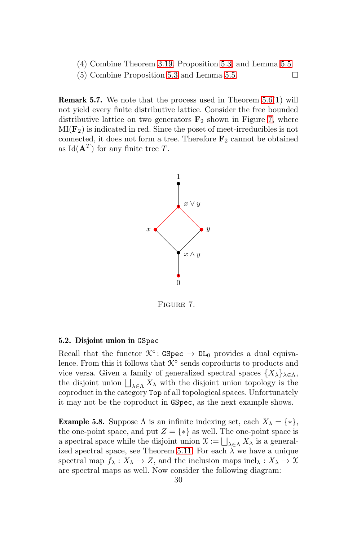- (4) Combine Theorem [3.19,](#page-17-0) Proposition [5.3,](#page-27-1) and Lemma [5.5.](#page-28-1)
- (5) Combine Proposition [5.3](#page-27-1) and Lemma [5.5.](#page-28-1)

**Remark 5.7.** We note that the process used in Theorem  $5.6(1)$  will not yield every finite distributive lattice. Consider the free bounded distributive lattice on two generators  $\mathbf{F}_2$  shown in Figure [7,](#page-29-1) where  $MI(\mathbf{F}_2)$  is indicated in red. Since the poset of meet-irreducibles is not connected, it does not form a tree. Therefore  $\mathbf{F}_2$  cannot be obtained as  $\text{Id}(\mathbf{A}^T)$  for any finite tree T.



<span id="page-29-1"></span>Figure 7.

#### <span id="page-29-0"></span>5.2. Disjoint union in GSpec

Recall that the functor  $\mathcal{K}^{\circ}$ : GSpec  $\rightarrow$  DL<sub>0</sub> provides a dual equivalence. From this it follows that  $\mathcal{K}^{\circ}$  sends coproducts to products and vice versa. Given a family of generalized spectral spaces  $\{X_{\lambda}\}_{\lambda \in \Lambda}$ , the disjoint union  $\bigsqcup_{\lambda \in \Lambda} X_{\lambda}$  with the disjoint union topology is the coproduct in the category Top of all topological spaces. Unfortunately it may not be the coproduct in GSpec, as the next example shows.

**Example 5.8.** Suppose  $\Lambda$  is an infinite indexing set, each  $X_{\lambda} = \{*\},\$ the one-point space, and put  $Z = \{*\}$  as well. The one-point space is a spectral space while the disjoint union  $\mathfrak{X} := \bigsqcup_{\lambda \in \Lambda} X_{\lambda}$  is a general-ized spectral space, see Theorem [5.11.](#page-31-0) For each  $\lambda$  we have a unique spectral map  $f_{\lambda}: X_{\lambda} \to Z$ , and the inclusion maps incl $_{\lambda}: X_{\lambda} \to \mathfrak{X}$ are spectral maps as well. Now consider the following diagram: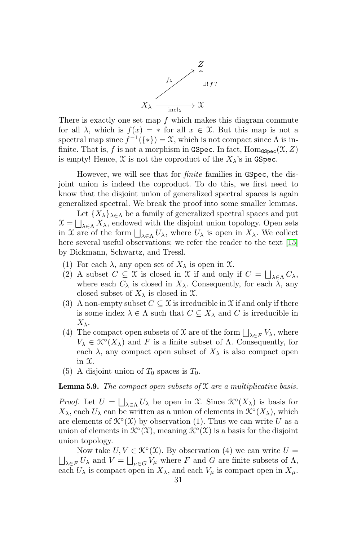

There is exactly one set map  $f$  which makes this diagram commute for all  $\lambda$ , which is  $f(x) = *$  for all  $x \in \mathcal{X}$ . But this map is not a spectral map since  $f^{-1}(\{\ast\}) = \mathfrak{X}$ , which is not compact since  $\Lambda$  is infinite. That is, f is not a morphism in GSpec. In fact,  $\text{Hom}_{\text{GSpec}}(\mathfrak{X}, Z)$ is empty! Hence,  $\mathfrak X$  is not the coproduct of the  $X_\lambda$ 's in GSpec.

However, we will see that for *finite* families in GSpec, the disjoint union is indeed the coproduct. To do this, we first need to know that the disjoint union of generalized spectral spaces is again generalized spectral. We break the proof into some smaller lemmas.

Let  ${X_{\lambda}}_{\lambda \in \Lambda}$  be a family of generalized spectral spaces and put  $\mathfrak{X} = \bigsqcup_{\lambda \in \Lambda} X_{\lambda}$ , endowed with the disjoint union topology. Open sets in X are of the form  $\bigsqcup_{\lambda \in \Lambda} U_{\lambda}$ , where  $U_{\lambda}$  is open in  $X_{\lambda}$ . We collect here several useful observations; we refer the reader to the text [\[15\]](#page-33-20) by Dickmann, Schwartz, and Tressl.

- (1) For each  $\lambda$ , any open set of  $X_{\lambda}$  is open in  $\mathfrak{X}$ .
- (2) A subset  $C \subseteq \mathfrak{X}$  is closed in  $\mathfrak{X}$  if and only if  $C = \bigsqcup_{\lambda \in \Lambda} C_{\lambda}$ , where each  $C_{\lambda}$  is closed in  $X_{\lambda}$ . Consequently, for each  $\lambda$ , any closed subset of  $X_{\lambda}$  is closed in  $\mathfrak{X}$ .
- (3) A non-empty subset  $C \subseteq \mathfrak{X}$  is irreducible in  $\mathfrak{X}$  if and only if there is some index  $\lambda \in \Lambda$  such that  $C \subseteq X_{\lambda}$  and C is irreducible in  $X_{\lambda}$ .
- (4) The compact open subsets of  $\mathfrak X$  are of the form  $\bigsqcup_{\lambda\in F}V_\lambda$ , where  $V_{\lambda} \in \mathcal{K}^{\circ}(X_{\lambda})$  and F is a finite subset of  $\Lambda$ . Consequently, for each  $\lambda$ , any compact open subset of  $X_{\lambda}$  is also compact open in X.
- (5) A disjoint union of  $T_0$  spaces is  $T_0$ .

<span id="page-30-0"></span>**Lemma 5.9.** The compact open subsets of  $\mathfrak X$  are a multiplicative basis.

*Proof.* Let  $U = \bigsqcup_{\lambda \in \Lambda} U_{\lambda}$  be open in X. Since  $\mathcal{K}^{\circ}(X_{\lambda})$  is basis for  $X_{\lambda}$ , each  $U_{\lambda}$  can be written as a union of elements in  $\mathcal{K}^{\circ}(X_{\lambda})$ , which are elements of  $\mathcal{K}^{\circ}(\mathfrak{X})$  by observation (1). Thus we can write U as a union of elements in  $\mathcal{K}^{\circ}(\mathfrak{X})$ , meaning  $\mathcal{K}^{\circ}(\mathfrak{X})$  is a basis for the disjoint union topology.

Now take  $U, V \in \mathcal{K}^{\circ}(\mathfrak{X})$ . By observation (4) we can write  $U =$  $\bigsqcup_{\lambda \in F} U_{\lambda}$  and  $V = \bigsqcup_{\mu \in G} V_{\mu}$  where F and G are finite subsets of  $\Lambda$ , each  $U_{\lambda}$  is compact open in  $X_{\lambda}$ , and each  $V_{\mu}$  is compact open in  $X_{\mu}$ .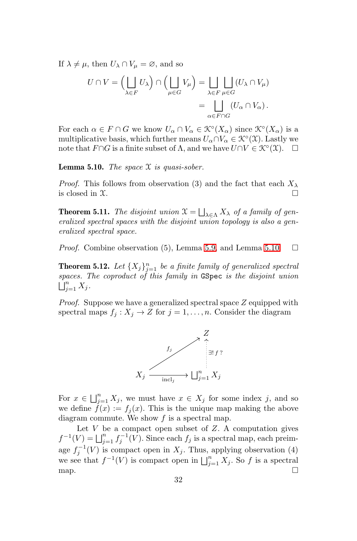If  $\lambda \neq \mu$ , then  $U_{\lambda} \cap V_{\mu} = \emptyset$ , and so

$$
U \cap V = \left(\bigsqcup_{\lambda \in F} U_{\lambda}\right) \cap \left(\bigsqcup_{\mu \in G} V_{\mu}\right) = \bigsqcup_{\lambda \in F} \bigsqcup_{\mu \in G} (U_{\lambda} \cap V_{\mu})
$$

$$
= \bigsqcup_{\alpha \in F \cap G} (U_{\alpha} \cap V_{\alpha}).
$$

For each  $\alpha \in F \cap G$  we know  $U_{\alpha} \cap V_{\alpha} \in \mathcal{K}^{\circ}(X_{\alpha})$  since  $\mathcal{K}^{\circ}(X_{\alpha})$  is a multiplicative basis, which further means  $U_{\alpha} \cap V_{\alpha} \in \mathcal{K}^{\circ}(\mathfrak{X})$ . Lastly we note that  $F \cap G$  is a finite subset of  $\Lambda$ , and we have  $U \cap V \in \mathcal{K}^{\circ}(\mathfrak{X})$ .  $\Box$ 

<span id="page-31-1"></span>**Lemma 5.10.** The space  $\mathfrak X$  is quasi-sober.

*Proof.* This follows from observation (3) and the fact that each  $X_\lambda$ is closed in  $\mathfrak{X}$ .

<span id="page-31-0"></span>**Theorem 5.11.** The disjoint union  $X = \bigsqcup_{\lambda \in \Lambda} X_{\lambda}$  of a family of generalized spectral spaces with the disjoint union topology is also a generalized spectral space.

*Proof.* Combine observation (5), Lemma [5.9,](#page-30-0) and Lemma [5.10.](#page-31-1)  $\Box$ 

<span id="page-31-2"></span>**Theorem 5.12.** Let  $\{X_j\}_{j=1}^n$  be a finite family of generalized spectral spaces. The coproduct of this family in GSpec is the disjoint union  $\bigcup_{j=1}^n X_j.$ 

*Proof.* Suppose we have a generalized spectral space  $Z$  equipped with spectral maps  $f_i : X_j \to Z$  for  $j = 1, ..., n$ . Consider the diagram



For  $x \in \bigsqcup_{j=1}^n X_j$ , we must have  $x \in X_j$  for some index j, and so we define  $f(x) := f_i(x)$ . This is the unique map making the above diagram commute. We show  $f$  is a spectral map.

Let  $V$  be a compact open subset of  $Z$ . A computation gives  $f^{-1}(V) = \bigsqcup_{j=1}^n f_j^{-1}(V)$ . Since each  $f_j$  is a spectral map, each preimage  $f_j^{-1}(V)$  is compact open in  $X_j$ . Thus, applying observation (4) we see that  $f^{-1}(V)$  is compact open in  $\bigsqcup_{j=1}^n X_j$ . So f is a spectral map.  $\Box$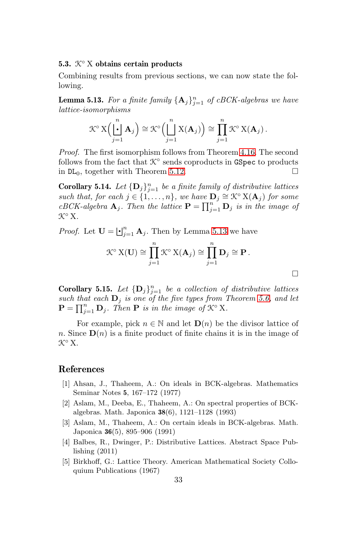#### 5.3.  $K^{\circ}$  X obtains certain products

Combining results from previous sections, we can now state the following.

<span id="page-32-7"></span>**Lemma 5.13.** For a finite family  $\{A_j\}_{j=1}^n$  of cBCK-algebras we have lattice-isomorphisms

$$
\mathcal{K}^{\circ} \mathbf{X} \Big( \bigcup_{j=1}^{n} \mathbf{A}_{j} \Big) \cong \mathcal{K}^{\circ} \Big( \bigsqcup_{j=1}^{n} \mathbf{X}(\mathbf{A}_{j}) \Big) \cong \prod_{j=1}^{n} \mathcal{K}^{\circ} \mathbf{X}(\mathbf{A}_{j}).
$$

Proof. The first isomorphism follows from Theorem [4.16.](#page-23-0) The second follows from the fact that  $\mathcal{K}^{\circ}$  sends coproducts in GSpec to products in  $DL_0$ , together with Theorem [5.12.](#page-31-2)

<span id="page-32-5"></span>**Corollary 5.14.** Let  $\{D_j\}_{j=1}^n$  be a finite family of distributive lattices such that, for each  $j \in \{1, \ldots, n\}$ , we have  $\mathbf{D}_j \cong \mathcal{K}^\circ \mathbf{X}(\mathbf{A}_j)$  for some cBCK-algebra  $\mathbf{A}_j$ . Then the lattice  $\mathbf{P} = \prod_{j=1}^n \mathbf{D}_j$  is in the image of K◦ X.

*Proof.* Let  $\mathbf{U} = \bigsqcup_{j=1}^{n} \mathbf{A}_{j}$ . Then by Lemma [5.13](#page-32-7) we have

$$
\mathcal{K}^{\circ} \mathbf{X}(\mathbf{U}) \cong \prod_{j=1}^{n} \mathcal{K}^{\circ} \mathbf{X}(\mathbf{A}_{j}) \cong \prod_{j=1}^{n} \mathbf{D}_{j} \cong \mathbf{P}.
$$

 $\Box$ 

<span id="page-32-6"></span>**Corollary 5.15.** Let  $\{D_j\}_{j=1}^n$  be a collection of distributive lattices such that each  $D_j$  is one of the five types from Theorem [5.6,](#page-28-0) and let  $\mathbf{P} = \prod_{j=1}^n \mathbf{D}_j$ . Then  $\mathbf{P}$  is in the image of  $\mathcal{K}^\circ$  X.

For example, pick  $n \in \mathbb{N}$  and let  $\mathbf{D}(n)$  be the divisor lattice of n. Since  $\mathbf{D}(n)$  is a finite product of finite chains it is in the image of K◦ X.

# <span id="page-32-0"></span>References

- [1] Ahsan, J., Thaheem, A.: On ideals in BCK-algebras. Mathematics Seminar Notes 5, 167–172 (1977)
- <span id="page-32-3"></span>[2] Aslam, M., Deeba, E., Thaheem, A.: On spectral properties of BCKalgebras. Math. Japonica 38(6), 1121–1128 (1993)
- <span id="page-32-1"></span>[3] Aslam, M., Thaheem, A.: On certain ideals in BCK-algebras. Math. Japonica 36(5), 895–906 (1991)
- <span id="page-32-4"></span>[4] Balbes, R., Dwinger, P.: Distributive Lattices. Abstract Space Publishing (2011)
- <span id="page-32-2"></span>[5] Birkhoff, G.: Lattice Theory. American Mathematical Society Colloquium Publications (1967)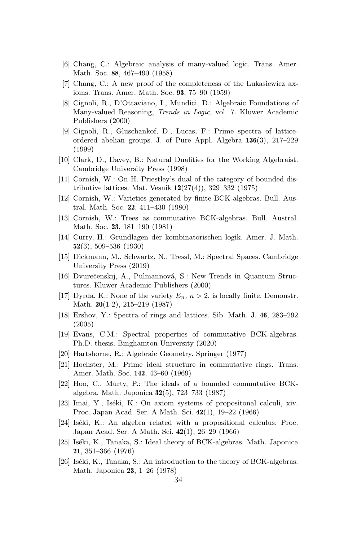- <span id="page-33-7"></span>[6] Chang, C.: Algebraic analysis of many-valued logic. Trans. Amer. Math. Soc. 88, 467–490 (1958)
- <span id="page-33-8"></span>[7] Chang, C.: A new proof of the completeness of the Lukasiewicz axioms. Trans. Amer. Math. Soc. 93, 75–90 (1959)
- <span id="page-33-9"></span>[8] Cignoli, R., D'Ottaviano, I., Mundici, D.: Algebraic Foundations of Many-valued Reasoning, Trends in Logic, vol. 7. Kluwer Academic Publishers (2000)
- <span id="page-33-18"></span>[9] Cignoli, R., Gluschankof, D., Lucas, F.: Prime spectra of latticeordered abelian groups. J. of Pure Appl. Algebra 136(3), 217–229 (1999)
- <span id="page-33-3"></span>[10] Clark, D., Davey, B.: Natural Dualities for the Working Algebraist. Cambridge University Press (1998)
- <span id="page-33-17"></span>[11] Cornish, W.: On H. Priestley's dual of the category of bounded distributive lattices. Mat. Vesnik  $12(27(4))$ , 329–332 (1975)
- <span id="page-33-10"></span>[12] Cornish, W.: Varieties generated by finite BCK-algebras. Bull. Austral. Math. Soc. 22, 411–430 (1980)
- <span id="page-33-12"></span>[13] Cornish, W.: Trees as commutative BCK-algebras. Bull. Austral. Math. Soc. 23, 181–190 (1981)
- <span id="page-33-2"></span>[14] Curry, H.: Grundlagen der kombinatorischen logik. Amer. J. Math. 52(3), 509–536 (1930)
- <span id="page-33-20"></span>[15] Dickmann, M., Schwartz, N., Tressl, M.: Spectral Spaces. Cambridge University Press (2019)
- <span id="page-33-16"></span>[16] Dvurečenskij, A., Pulmannová, S.: New Trends in Quantum Structures. Kluwer Academic Publishers (2000)
- <span id="page-33-11"></span>[17] Dyrda, K.: None of the variety  $E_n$ ,  $n > 2$ , is locally finite. Demonstr. Math. 20(1-2), 215–219 (1987)
- <span id="page-33-15"></span>[18] Ershov, Y.: Spectra of rings and lattices. Sib. Math. J. 46, 283–292 (2005)
- <span id="page-33-5"></span>[19] Evans, C.M.: Spectral properties of commutative BCK-algebras. Ph.D. thesis, Binghamton University (2020)
- <span id="page-33-19"></span><span id="page-33-14"></span>[20] Hartshorne, R.: Algebraic Geometry. Springer (1977)
- [21] Hochster, M.: Prime ideal structure in commutative rings. Trans. Amer. Math. Soc. 142, 43–60 (1969)
- <span id="page-33-13"></span>[22] Hoo, C., Murty, P.: The ideals of a bounded commutative BCKalgebra. Math. Japonica 32(5), 723–733 (1987)
- <span id="page-33-0"></span>[23] Imai, Y., Iséki, K.: On axiom systems of propositonal calculi, xiv. Proc. Japan Acad. Ser. A Math. Sci. 42(1), 19–22 (1966)
- <span id="page-33-1"></span> $[24]$  Iséki, K.: An algebra related with a propositional calculus. Proc. Japan Acad. Ser. A Math. Sci. 42(1), 26–29 (1966)
- <span id="page-33-4"></span>[25] Iséki, K., Tanaka, S.: Ideal theory of BCK-algebras. Math. Japonica 21, 351–366 (1976)
- <span id="page-33-6"></span>[26] Iséki, K., Tanaka, S.: An introduction to the theory of BCK-algebras. Math. Japonica 23, 1–26 (1978)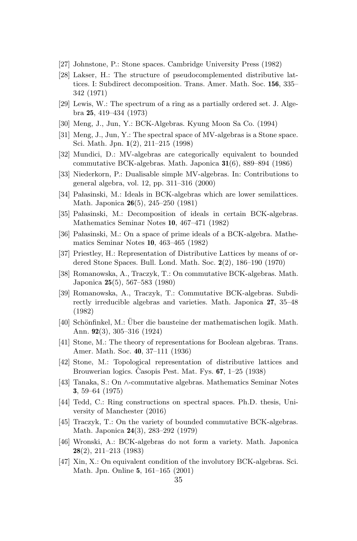- <span id="page-34-18"></span><span id="page-34-13"></span>[27] Johnstone, P.: Stone spaces. Cambridge University Press (1982)
- [28] Lakser, H.: The structure of pseudocomplemented distributive lattices. I: Subdirect decomposition. Trans. Amer. Math. Soc. 156, 335– 342 (1971)
- <span id="page-34-16"></span>[29] Lewis, W.: The spectrum of a ring as a partially ordered set. J. Algebra 25, 419–434 (1973)
- <span id="page-34-15"></span><span id="page-34-9"></span>[30] Meng, J., Jun, Y.: BCK-Algebras. Kyung Moon Sa Co. (1994)
- [31] Meng, J., Jun, Y.: The spectral space of MV-algebras is a Stone space. Sci. Math. Jpn. 1(2), 211–215 (1998)
- <span id="page-34-2"></span>[32] Mundici, D.: MV-algebras are categorically equivalent to bounded commutative BCK-algebras. Math. Japonica 31(6), 889–894 (1986)
- <span id="page-34-5"></span>[33] Niederkorn, P.: Dualisable simple MV-algebras. In: Contributions to general algebra, vol. 12, pp. 311–316 (2000)
- <span id="page-34-10"></span>[34] Pałasinski, M.: Ideals in BCK-algebras which are lower semilattices. Math. Japonica 26(5), 245–250 (1981)
- [35] Pałasinski, M.: Decomposition of ideals in certain BCK-algebras. Mathematics Seminar Notes 10, 467–471 (1982)
- <span id="page-34-14"></span>[36] Pa lasinski, M.: On a space of prime ideals of a BCK-algebra. Mathematics Seminar Notes 10, 463–465 (1982)
- <span id="page-34-4"></span>[37] Priestley, H.: Representation of Distributive Lattices by means of ordered Stone Spaces. Bull. Lond. Math. Soc. 2(2), 186–190 (1970)
- <span id="page-34-7"></span>[38] Romanowska, A., Traczyk, T.: On commutative BCK-algebras. Math. Japonica 25(5), 567–583 (1980)
- <span id="page-34-11"></span>[39] Romanowska, A., Traczyk, T.: Commutative BCK-algebras. Subdirectly irreducible algebras and varieties. Math. Japonica 27, 35–48 (1982)
- <span id="page-34-0"></span>[40] Schönfinkel, M.: Über die bausteine der mathematischen logik. Math. Ann. 92(3), 305–316 (1924)
- <span id="page-34-3"></span>[41] Stone, M.: The theory of representations for Boolean algebras. Trans. Amer. Math. Soc. 40, 37–111 (1936)
- <span id="page-34-19"></span>[42] Stone, M.: Topological representation of distributive lattices and Brouwerian logics. Casopis Pest. Mat. Fys.  $67, 1-25$  (1938)
- <span id="page-34-6"></span>[43] Tanaka, S.: On ∧-commutative algebras. Mathematics Seminar Notes 3, 59–64 (1975)
- <span id="page-34-17"></span>[44] Tedd, C.: Ring constructions on spectral spaces. Ph.D. thesis, University of Manchester (2016)
- <span id="page-34-8"></span>[45] Traczyk, T.: On the variety of bounded commutative BCK-algebras. Math. Japonica 24(3), 283–292 (1979)
- <span id="page-34-1"></span>[46] Wronski, A.: BCK-algebras do not form a variety. Math. Japonica 28(2), 211–213 (1983)
- <span id="page-34-12"></span>[47] Xin, X.: On equivalent condition of the involutory BCK-algebras. Sci. Math. Jpn. Online 5, 161–165 (2001)